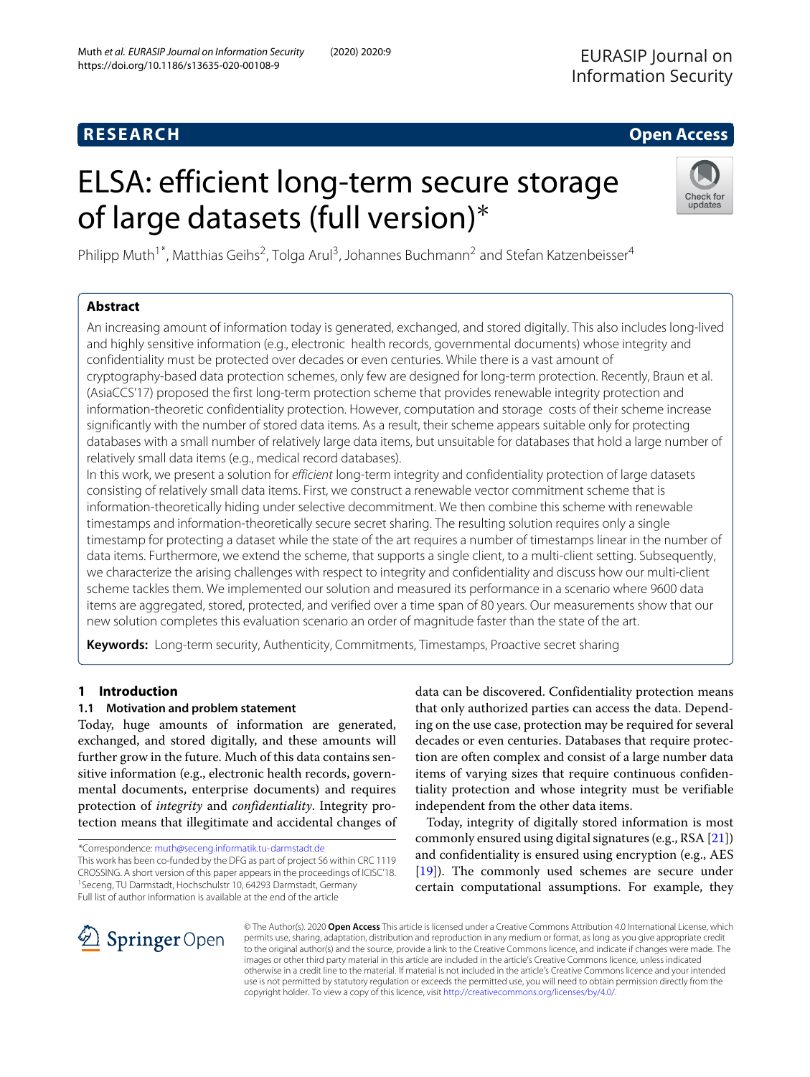# **RESEARCH Open Access**

# ELSA: efficient long-term secure storage of large datasets (full version)∗



Philipp Muth<sup>1\*</sup>, Matthias Geihs<sup>2</sup>, Tolga Arul<sup>3</sup>, Johannes Buchmann<sup>2</sup> and Stefan Katzenbeisser<sup>4</sup>

# **Abstract**

An increasing amount of information today is generated, exchanged, and stored digitally. This also includes long-lived and highly sensitive information (e.g., electronic health records, governmental documents) whose integrity and confidentiality must be protected over decades or even centuries. While there is a vast amount of cryptography-based data protection schemes, only few are designed for long-term protection. Recently, Braun et al. (AsiaCCS'17) proposed the first long-term protection scheme that provides renewable integrity protection and information-theoretic confidentiality protection. However, computation and storage costs of their scheme increase significantly with the number of stored data items. As a result, their scheme appears suitable only for protecting databases with a small number of relatively large data items, but unsuitable for databases that hold a large number of relatively small data items (e.g., medical record databases).

In this work, we present a solution for efficient long-term integrity and confidentiality protection of large datasets consisting of relatively small data items. First, we construct a renewable vector commitment scheme that is information-theoretically hiding under selective decommitment. We then combine this scheme with renewable timestamps and information-theoretically secure secret sharing. The resulting solution requires only a single timestamp for protecting a dataset while the state of the art requires a number of timestamps linear in the number of data items. Furthermore, we extend the scheme, that supports a single client, to a multi-client setting. Subsequently, we characterize the arising challenges with respect to integrity and confidentiality and discuss how our multi-client scheme tackles them. We implemented our solution and measured its performance in a scenario where 9600 data items are aggregated, stored, protected, and verified over a time span of 80 years. Our measurements show that our new solution completes this evaluation scenario an order of magnitude faster than the state of the art.

**Keywords:** Long-term security, Authenticity, Commitments, Timestamps, Proactive secret sharing

# **1 Introduction**

# **1.1 Motivation and problem statement**

Today, huge amounts of information are generated, exchanged, and stored digitally, and these amounts will further grow in the future. Much of this data contains sensitive information (e.g., electronic health records, governmental documents, enterprise documents) and requires protection of *integrity* and *confidentiality*. Integrity protection means that illegitimate and accidental changes of

\*Correspondence: [muth@seceng.informatik.tu-darmstadt.de](mailto: muth@seceng.informatik.tu-darmstadt.de)

This work has been co-funded by the DFG as part of project S6 within CRC 1119 CROSSING. A short version of this paper appears in the proceedings of ICISC'18. 1Seceng, TU Darmstadt, Hochschulstr 10, 64293 Darmstadt, Germany Full list of author information is available at the end of the article

data can be discovered. Confidentiality protection means that only authorized parties can access the data. Depending on the use case, protection may be required for several decades or even centuries. Databases that require protection are often complex and consist of a large number data items of varying sizes that require continuous confidentiality protection and whose integrity must be verifiable independent from the other data items.

Today, integrity of digitally stored information is most commonly ensured using digital signatures (e.g., RSA [\[21\]](#page-19-0)) and confidentiality is ensured using encryption (e.g., AES [\[19\]](#page-19-1)). The commonly used schemes are secure under certain computational assumptions. For example, they



© The Author(s). 2020 **Open Access** This article is licensed under a Creative Commons Attribution 4.0 International License, which permits use, sharing, adaptation, distribution and reproduction in any medium or format, as long as you give appropriate credit to the original author(s) and the source, provide a link to the Creative Commons licence, and indicate if changes were made. The images or other third party material in this article are included in the article's Creative Commons licence, unless indicated otherwise in a credit line to the material. If material is not included in the article's Creative Commons licence and your intended use is not permitted by statutory regulation or exceeds the permitted use, you will need to obtain permission directly from the copyright holder. To view a copy of this licence, visit [http://creativecommons.org/licenses/by/4.0/.](http://creativecommons.org/licenses/by/4.0/)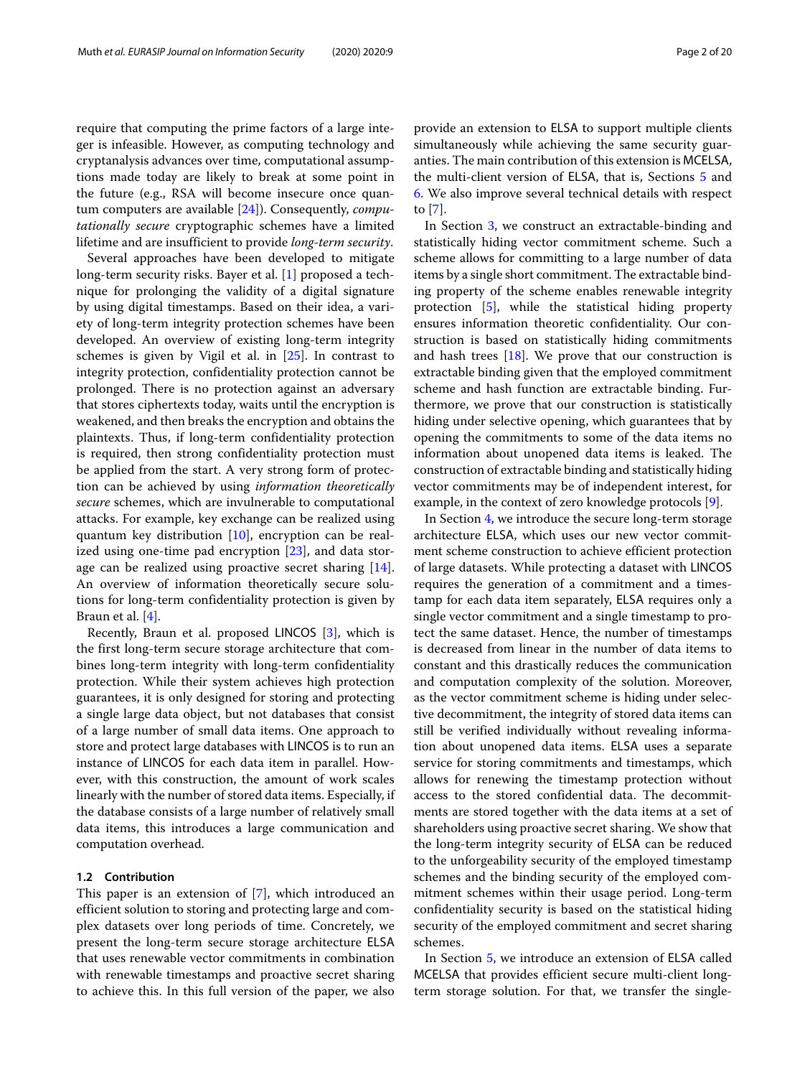require that computing the prime factors of a large integer is infeasible. However, as computing technology and cryptanalysis advances over time, computational assumptions made today are likely to break at some point in the future (e.g., RSA will become insecure once quantum computers are available [\[24\]](#page-19-2)). Consequently, *computationally secure* cryptographic schemes have a limited lifetime and are insufficient to provide *long-term security*.

Several approaches have been developed to mitigate long-term security risks. Bayer et al. [\[1\]](#page-18-0) proposed a technique for prolonging the validity of a digital signature by using digital timestamps. Based on their idea, a variety of long-term integrity protection schemes have been developed. An overview of existing long-term integrity schemes is given by Vigil et al. in [\[25\]](#page-19-3). In contrast to integrity protection, confidentiality protection cannot be prolonged. There is no protection against an adversary that stores ciphertexts today, waits until the encryption is weakened, and then breaks the encryption and obtains the plaintexts. Thus, if long-term confidentiality protection is required, then strong confidentiality protection must be applied from the start. A very strong form of protection can be achieved by using *information theoretically secure* schemes, which are invulnerable to computational attacks. For example, key exchange can be realized using quantum key distribution [\[10\]](#page-19-4), encryption can be realized using one-time pad encryption  $[23]$ , and data storage can be realized using proactive secret sharing [\[14\]](#page-19-6). An overview of information theoretically secure solutions for long-term confidentiality protection is given by Braun et al. [\[4\]](#page-19-7).

Recently, Braun et al. proposed LINCOS [\[3\]](#page-19-8), which is the first long-term secure storage architecture that combines long-term integrity with long-term confidentiality protection. While their system achieves high protection guarantees, it is only designed for storing and protecting a single large data object, but not databases that consist of a large number of small data items. One approach to store and protect large databases with LINCOS is to run an instance of LINCOS for each data item in parallel. However, with this construction, the amount of work scales linearly with the number of stored data items. Especially, if the database consists of a large number of relatively small data items, this introduces a large communication and computation overhead.

### **1.2 Contribution**

This paper is an extension of [\[7\]](#page-19-9), which introduced an efficient solution to storing and protecting large and complex datasets over long periods of time. Concretely, we present the long-term secure storage architecture ELSA that uses renewable vector commitments in combination with renewable timestamps and proactive secret sharing to achieve this. In this full version of the paper, we also

provide an extension to ELSA to support multiple clients simultaneously while achieving the same security guaranties. The main contribution of this extension is MCELSA, the multi-client version of ELSA, that is, Sections [5](#page-11-0) and [6.](#page-15-0) We also improve several technical details with respect to [\[7\]](#page-19-9).

In Section [3,](#page-4-0) we construct an extractable-binding and statistically hiding vector commitment scheme. Such a scheme allows for committing to a large number of data items by a single short commitment. The extractable binding property of the scheme enables renewable integrity protection [\[5\]](#page-19-10), while the statistical hiding property ensures information theoretic confidentiality. Our construction is based on statistically hiding commitments and hash trees [\[18\]](#page-19-11). We prove that our construction is extractable binding given that the employed commitment scheme and hash function are extractable binding. Furthermore, we prove that our construction is statistically hiding under selective opening, which guarantees that by opening the commitments to some of the data items no information about unopened data items is leaked. The construction of extractable binding and statistically hiding vector commitments may be of independent interest, for example, in the context of zero knowledge protocols [\[9\]](#page-19-12).

In Section [4,](#page-6-0) we introduce the secure long-term storage architecture ELSA, which uses our new vector commitment scheme construction to achieve efficient protection of large datasets. While protecting a dataset with LINCOS requires the generation of a commitment and a timestamp for each data item separately, ELSA requires only a single vector commitment and a single timestamp to protect the same dataset. Hence, the number of timestamps is decreased from linear in the number of data items to constant and this drastically reduces the communication and computation complexity of the solution. Moreover, as the vector commitment scheme is hiding under selective decommitment, the integrity of stored data items can still be verified individually without revealing information about unopened data items. ELSA uses a separate service for storing commitments and timestamps, which allows for renewing the timestamp protection without access to the stored confidential data. The decommitments are stored together with the data items at a set of shareholders using proactive secret sharing. We show that the long-term integrity security of ELSA can be reduced to the unforgeability security of the employed timestamp schemes and the binding security of the employed commitment schemes within their usage period. Long-term confidentiality security is based on the statistical hiding security of the employed commitment and secret sharing schemes.

In Section [5,](#page-11-0) we introduce an extension of ELSA called MCELSA that provides efficient secure multi-client longterm storage solution. For that, we transfer the single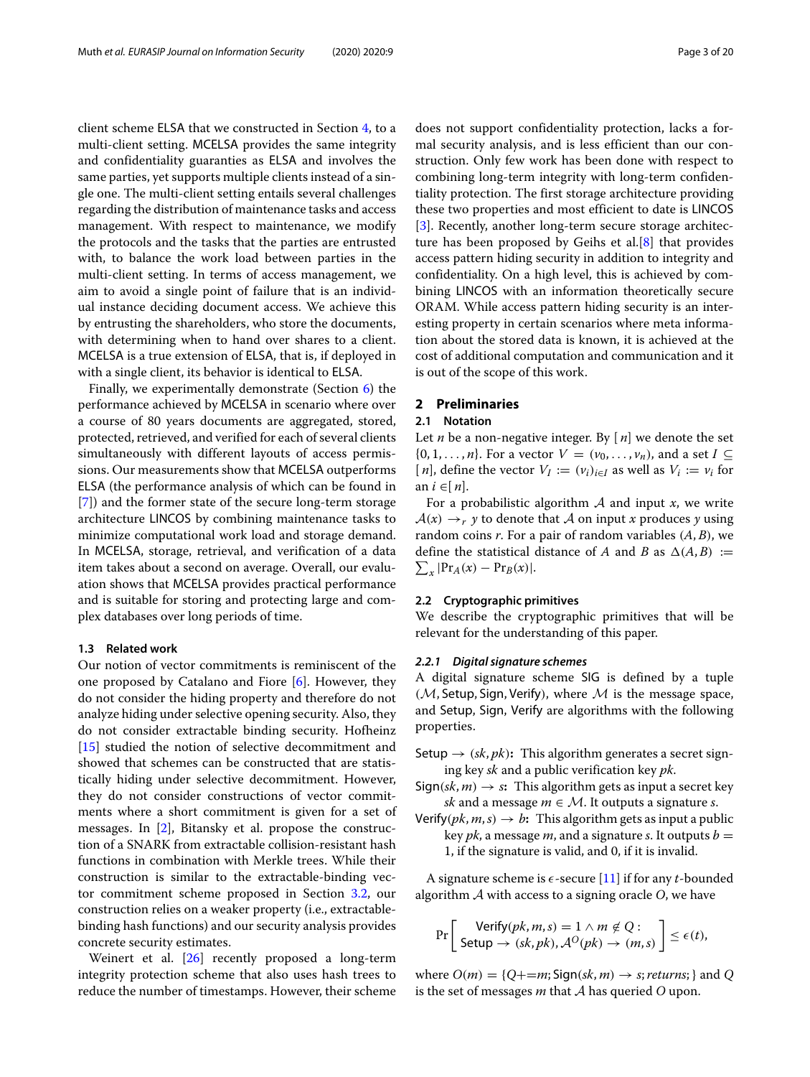client scheme ELSA that we constructed in Section  $4$ , to a multi-client setting. MCELSA provides the same integrity and confidentiality guaranties as ELSA and involves the same parties, yet supports multiple clients instead of a single one. The multi-client setting entails several challenges regarding the distribution of maintenance tasks and access management. With respect to maintenance, we modify the protocols and the tasks that the parties are entrusted with, to balance the work load between parties in the multi-client setting. In terms of access management, we aim to avoid a single point of failure that is an individual instance deciding document access. We achieve this by entrusting the shareholders, who store the documents, with determining when to hand over shares to a client. MCELSA is a true extension of ELSA, that is, if deployed in with a single client, its behavior is identical to ELSA.

Finally, we experimentally demonstrate (Section [6\)](#page-15-0) the performance achieved by MCELSA in scenario where over a course of 80 years documents are aggregated, stored, protected, retrieved, and verified for each of several clients simultaneously with different layouts of access permissions. Our measurements show that MCELSA outperforms ELSA (the performance analysis of which can be found in [\[7\]](#page-19-9)) and the former state of the secure long-term storage architecture LINCOS by combining maintenance tasks to minimize computational work load and storage demand. In MCELSA, storage, retrieval, and verification of a data item takes about a second on average. Overall, our evaluation shows that MCELSA provides practical performance and is suitable for storing and protecting large and complex databases over long periods of time.

#### **1.3 Related work**

Our notion of vector commitments is reminiscent of the one proposed by Catalano and Fiore [\[6\]](#page-19-13). However, they do not consider the hiding property and therefore do not analyze hiding under selective opening security. Also, they do not consider extractable binding security. Hofheinz [\[15\]](#page-19-14) studied the notion of selective decommitment and showed that schemes can be constructed that are statistically hiding under selective decommitment. However, they do not consider constructions of vector commitments where a short commitment is given for a set of messages. In [\[2\]](#page-18-1), Bitansky et al. propose the construction of a SNARK from extractable collision-resistant hash functions in combination with Merkle trees. While their construction is similar to the extractable-binding vector commitment scheme proposed in Section [3.2,](#page-4-1) our construction relies on a weaker property (i.e., extractablebinding hash functions) and our security analysis provides concrete security estimates.

Weinert et al. [\[26\]](#page-19-15) recently proposed a long-term integrity protection scheme that also uses hash trees to reduce the number of timestamps. However, their scheme does not support confidentiality protection, lacks a formal security analysis, and is less efficient than our construction. Only few work has been done with respect to combining long-term integrity with long-term confidentiality protection. The first storage architecture providing these two properties and most efficient to date is LINCOS [\[3\]](#page-19-8). Recently, another long-term secure storage architecture has been proposed by Geihs et al.[\[8\]](#page-19-16) that provides access pattern hiding security in addition to integrity and confidentiality. On a high level, this is achieved by combining LINCOS with an information theoretically secure ORAM. While access pattern hiding security is an interesting property in certain scenarios where meta information about the stored data is known, it is achieved at the cost of additional computation and communication and it is out of the scope of this work.

#### **2 Preliminaries**

# **2.1 Notation**

Let *n* be a non-negative integer. By [ *n*] we denote the set  $\{0, 1, \ldots, n\}$ . For a vector  $V = (v_0, \ldots, v_n)$ , and a set  $I \subseteq$ [*n*], define the vector  $V_I := (v_i)_{i \in I}$  as well as  $V_i := v_i$  for an *i* ∈[ *n*].

For a probabilistic algorithm A and input *x*, we write  $A(x) \rightarrow r$  *y* to denote that A on input *x* produces *y* using random coins *r*. For a pair of random variables (*A*, *B*), we define the statistical distance of *A* and *B* as  $\Delta(A, B) :=$  $\sum_{x}$  |Pr<sub>*A*</sub>(*x*) – Pr<sub>*B*</sub>(*x*)|.

#### **2.2 Cryptographic primitives**

We describe the cryptographic primitives that will be relevant for the understanding of this paper.

#### <span id="page-2-0"></span>*2.2.1 Digital signature schemes*

A digital signature scheme SIG is defined by a tuple  $(M,$  Setup, Sign, Verify), where  $M$  is the message space, and Setup, Sign, Verify are algorithms with the following properties.

- Setup  $\rightarrow$  (*sk*, *pk*): This algorithm generates a secret signing key *sk* and a public verification key *pk*.
- $Sign(sk, m) \rightarrow s$ : This algorithm gets as input a secret key *sk* and a message  $m \in \mathcal{M}$ . It outputs a signature *s*.
- Verify( $pk, m, s$ )  $\rightarrow b$ : This algorithm gets as input a public key *pk*, a message *m*, and a signature *s*. It outputs  $b =$ 1, if the signature is valid, and 0, if it is invalid.

A signature scheme is  $\epsilon$ -secure [\[11\]](#page-19-17) if for any *t*-bounded algorithm A with access to a signing oracle *O*, we have

$$
\Pr\left[\begin{array}{l}\text{Verify}(pk,m,s) = 1 \land m \notin Q: \\ \text{Setup} \rightarrow (sk,pk), \mathcal{A}^O(pk) \rightarrow (m,s)\end{array}\right] \leq \epsilon(t),
$$

where  $O(m) = \{Q + m; \text{Sign}(sk, m) \rightarrow s; \text{returns};\}$  and *Q* is the set of messages *m* that A has queried *O* upon.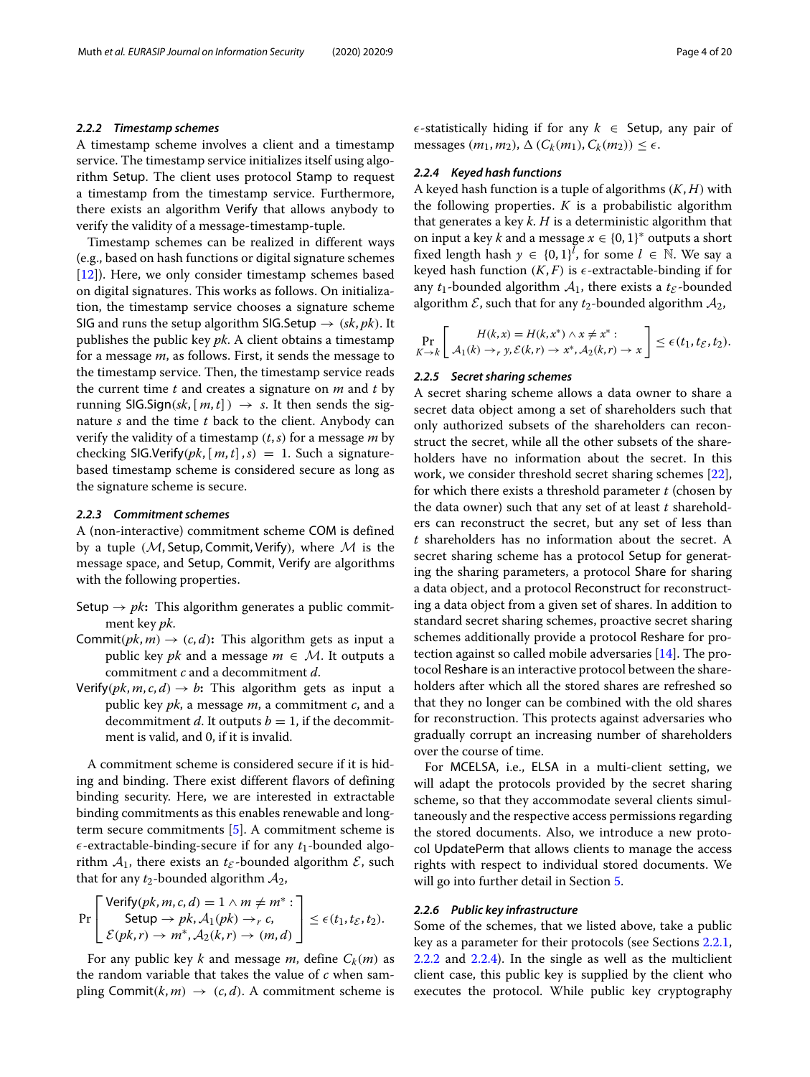#### <span id="page-3-0"></span>*2.2.2 Timestamp schemes*

A timestamp scheme involves a client and a timestamp service. The timestamp service initializes itself using algorithm Setup. The client uses protocol Stamp to request a timestamp from the timestamp service. Furthermore, there exists an algorithm Verify that allows anybody to verify the validity of a message-timestamp-tuple.

Timestamp schemes can be realized in different ways (e.g., based on hash functions or digital signature schemes [\[12\]](#page-19-18)). Here, we only consider timestamp schemes based on digital signatures. This works as follows. On initialization, the timestamp service chooses a signature scheme SIG and runs the setup algorithm SIG.Setup  $\rightarrow$  (*sk*, *pk*). It publishes the public key *pk*. A client obtains a timestamp for a message *m*, as follows. First, it sends the message to the timestamp service. Then, the timestamp service reads the current time *t* and creates a signature on *m* and *t* by running SIG.Sign( $sk$ ,  $[m, t]$ )  $\rightarrow$  *s*. It then sends the signature *s* and the time *t* back to the client. Anybody can verify the validity of a timestamp (*t*,*s*) for a message *m* by checking SIG.Verify( $pk$ ,  $[m, t]$ , $s$ ) = 1. Such a signaturebased timestamp scheme is considered secure as long as the signature scheme is secure.

### *2.2.3 Commitment schemes*

A (non-interactive) commitment scheme COM is defined by a tuple  $(M,$  Setup, Commit, Verify), where M is the message space, and Setup, Commit, Verify are algorithms with the following properties.

- Setup  $\rightarrow pk$ : This algorithm generates a public commitment key *pk*.
- Commit( $pk, m$ )  $\rightarrow$  ( $c, d$ ): This algorithm gets as input a public key *pk* and a message  $m \in \mathcal{M}$ . It outputs a commitment *c* and a decommitment *d*.
- Verify( $pk, m, c, d$ )  $\rightarrow b$ : This algorithm gets as input a public key *pk*, a message *m*, a commitment *c*, and a decommitment *d*. It outputs  $b = 1$ , if the decommitment is valid, and 0, if it is invalid.

A commitment scheme is considered secure if it is hiding and binding. There exist different flavors of defining binding security. Here, we are interested in extractable binding commitments as this enables renewable and longterm secure commitments [\[5\]](#page-19-10). A commitment scheme is  $\epsilon$ -extractable-binding-secure if for any  $t_1$ -bounded algorithm  $A_1$ , there exists an  $t_{\mathcal{E}}$ -bounded algorithm  $\mathcal{E}$ , such that for any  $t_2$ -bounded algorithm  $A_2$ ,

$$
\Pr\left[\begin{array}{c}\n\text{Verify}(pk, m, c, d) = 1 \land m \neq m^* : \\
\text{Setup} \rightarrow pk, \mathcal{A}_1(pk) \rightarrow_r c, \\
\mathcal{E}(pk, r) \rightarrow m^*, \mathcal{A}_2(k, r) \rightarrow (m, d)\n\end{array}\right] \leq \epsilon(t_1, t_2, t_2).
$$

For any public key *k* and message *m*, define  $C_k(m)$  as the random variable that takes the value of *c* when sampling Commit $(k, m) \rightarrow (c, d)$ . A commitment scheme is  $\epsilon$ -statistically hiding if for any  $k \in$  Setup, any pair of  $\text{message}(m_1, m_2), \Delta(C_k(m_1), C_k(m_2)) \leq \epsilon.$ 

#### <span id="page-3-1"></span>*2.2.4 Keyed hash functions*

A keyed hash function is a tuple of algorithms (*K*, *H*) with the following properties.  $K$  is a probabilistic algorithm that generates a key *k*. *H* is a deterministic algorithm that on input a key *k* and a message  $x \in \{0, 1\}^*$  outputs a short fixed length hash  $y \in \{0, 1\}^l$ , for some  $l \in \mathbb{N}$ . We say a keyed hash function  $(K, F)$  is  $\epsilon$ -extractable-binding if for any  $t_1$ -bounded algorithm  $A_1$ , there exists a  $t_{\mathcal{E}}$ -bounded algorithm  $\mathcal{E}$ , such that for any  $t_2$ -bounded algorithm  $\mathcal{A}_2$ ,

$$
\Pr_{K \to k} \left[ H(k, x) = H(k, x^*) \wedge x \neq x^* : \\ A_1(k) \to_r y, \mathcal{E}(k, r) \to x^*, A_2(k, r) \to x \right] \leq \epsilon(t_1, t_{\mathcal{E}}, t_2).
$$

#### *2.2.5 Secret sharing schemes*

A secret sharing scheme allows a data owner to share a secret data object among a set of shareholders such that only authorized subsets of the shareholders can reconstruct the secret, while all the other subsets of the shareholders have no information about the secret. In this work, we consider threshold secret sharing schemes [\[22\]](#page-19-19), for which there exists a threshold parameter *t* (chosen by the data owner) such that any set of at least *t* shareholders can reconstruct the secret, but any set of less than *t* shareholders has no information about the secret. A secret sharing scheme has a protocol Setup for generating the sharing parameters, a protocol Share for sharing a data object, and a protocol Reconstruct for reconstructing a data object from a given set of shares. In addition to standard secret sharing schemes, proactive secret sharing schemes additionally provide a protocol Reshare for protection against so called mobile adversaries [\[14\]](#page-19-6). The protocol Reshare is an interactive protocol between the shareholders after which all the stored shares are refreshed so that they no longer can be combined with the old shares for reconstruction. This protects against adversaries who gradually corrupt an increasing number of shareholders over the course of time.

For MCELSA, i.e., ELSA in a multi-client setting, we will adapt the protocols provided by the secret sharing scheme, so that they accommodate several clients simultaneously and the respective access permissions regarding the stored documents. Also, we introduce a new protocol UpdatePerm that allows clients to manage the access rights with respect to individual stored documents. We will go into further detail in Section [5.](#page-11-0)

#### *2.2.6 Public key infrastructure*

Some of the schemes, that we listed above, take a public key as a parameter for their protocols (see Sections [2.2.1,](#page-2-0) [2.2.2](#page-3-0) and [2.2.4\)](#page-3-1). In the single as well as the multiclient client case, this public key is supplied by the client who executes the protocol. While public key cryptography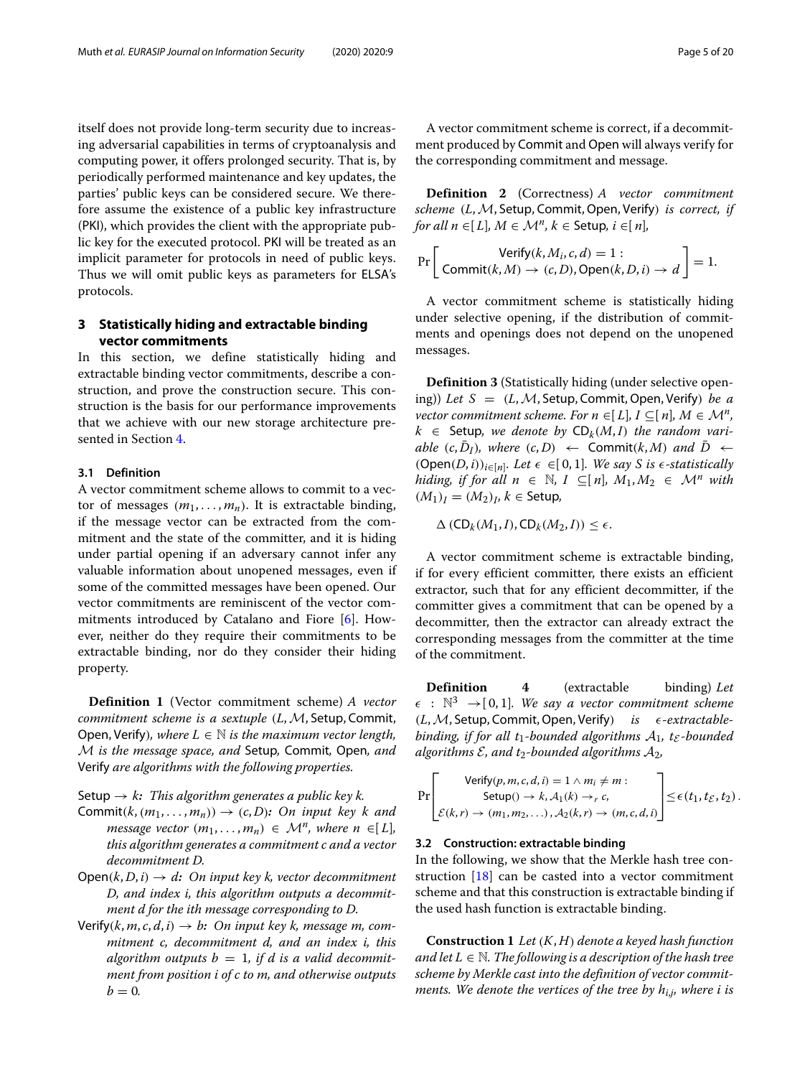itself does not provide long-term security due to increasing adversarial capabilities in terms of cryptoanalysis and computing power, it offers prolonged security. That is, by periodically performed maintenance and key updates, the parties' public keys can be considered secure. We therefore assume the existence of a public key infrastructure (PKI), which provides the client with the appropriate public key for the executed protocol. PKI will be treated as an implicit parameter for protocols in need of public keys. Thus we will omit public keys as parameters for ELSA's protocols.

# <span id="page-4-0"></span>**3 Statistically hiding and extractable binding vector commitments**

In this section, we define statistically hiding and extractable binding vector commitments, describe a construction, and prove the construction secure. This construction is the basis for our performance improvements that we achieve with our new storage architecture presented in Section [4.](#page-6-0)

#### **3.1 Definition**

A vector commitment scheme allows to commit to a vector of messages  $(m_1, \ldots, m_n)$ . It is extractable binding, if the message vector can be extracted from the commitment and the state of the committer, and it is hiding under partial opening if an adversary cannot infer any valuable information about unopened messages, even if some of the committed messages have been opened. Our vector commitments are reminiscent of the vector commitments introduced by Catalano and Fiore [\[6\]](#page-19-13). However, neither do they require their commitments to be extractable binding, nor do they consider their hiding property.

**Definition 1** (Vector commitment scheme) *A vector commitment scheme is a sextuple* (*L*, *M*, Setup, Commit, Open, Verify), where  $L \in \mathbb{N}$  is the maximum vector length, M *is the message space, and* Setup*,* Commit*,* Open*, and* Verify *are algorithms with the following properties.*

#### Setup  $\rightarrow k$ *: This algorithm generates a public key k.*

- Commit( $k$ ,  $(m_1, \ldots, m_n)$ )  $\rightarrow$   $(c, D)$ *: On input key k and message vector*  $(m_1, \ldots, m_n) \in \mathcal{M}^n$ , where  $n \in [L]$ , *this algorithm generates a commitment c and a vector decommitment D.*
- $Open(k, D, i) \rightarrow d$ : On input key k, vector decommitment *D, and index i, this algorithm outputs a decommitment d for the ith message corresponding to D.*
- Verify( $k, m, c, d, i$ )  $\rightarrow b$ : On input key  $k$ , message m, com*mitment c, decommitment d, and an index i, this* algorithm outputs  $b = 1$ , if d is a valid decommit*ment from position i of c to m, and otherwise outputs*  $b = 0$ .

A vector commitment scheme is correct, if a decommitment produced by Commit and Open will always verify for the corresponding commitment and message.

**Definition 2** (Correctness) *A vector commitment scheme* (*L*,M, Setup, Commit,Open, Verify) *is correct, if for all n* ∈[ $L$ ]*,*  $M \in \mathcal{M}^n$ *, k* ∈ Setup*, i* ∈[ $n$ ]*,* 

$$
\Pr\left[\begin{array}{c}\text{Verify}(k, M_i, c, d) = 1: \\ \text{Commit}(k, M) \rightarrow (c, D), \text{Open}(k, D, i) \rightarrow d \end{array}\right] = 1.
$$

A vector commitment scheme is statistically hiding under selective opening, if the distribution of commitments and openings does not depend on the unopened messages.

**Definition 3** (Statistically hiding (under selective opening)) *Let S* = (*L*,M, Setup, Commit,Open, Verify) *be a vector commitment scheme. For n*  $\in$ [*L*], *I*  $\subseteq$ [*n*], *M*  $\in$  *M<sup>n</sup>*,  $k \in$  Setup, we denote by  $CD_k(M, I)$  the random vari $able$  (*c*,  $\overline{D}_I$ )*, where* (*c*, *D*)  $\leftarrow$  Commit(*k*, *M*) and  $\overline{D}$   $\leftarrow$ (Open(*D*, *i*))<sub>*i*∈[*n*]</sub>*. Let*  $\epsilon$  ∈[0, 1]*. We say S is*  $\epsilon$ -*statistically hiding, if for all*  $n \in \mathbb{N}$ ,  $I \subseteq [n]$ ,  $M_1, M_2 \in \mathcal{M}^n$  with  $(M_1)$ <sup>*I*</sup> =  $(M_2)$ <sup>*I*</sup>, *k* ∈ Setup,

 $\Delta$  (CD<sub>k</sub>( $M_1$ , *I*), CD<sub>k</sub>( $M_2$ , *I*))  $\leq \epsilon$ .

A vector commitment scheme is extractable binding, if for every efficient committer, there exists an efficient extractor, such that for any efficient decommitter, if the committer gives a commitment that can be opened by a decommitter, then the extractor can already extract the corresponding messages from the committer at the time of the commitment.

**Definition 4** (extractable binding) *Let*  $\epsilon$  :  $\mathbb{N}^3 \rightarrow [0, 1]$ *. We say a vector commitment scheme* (*L*,M, Setup, Commit,Open, Verify) *is -extractablebinding, if for all t*1-bounded algorithms  $A_1$ ,  $t_{\mathcal{E}}$ -bounded *algorithms*  $\mathcal{E}$ *, and t*<sub>2</sub>*-bounded algorithms*  $\mathcal{A}_2$ *,* 

$$
\Pr\left[\begin{matrix}\n\text{Verify}(p, m, c, d, i) = 1 \land m_i \neq m : \\
\text{Setup}(1) \to k, \mathcal{A}_1(k) \to_r c, \\
\mathcal{E}(k, r) \to (m_1, m_2, \ldots), \mathcal{A}_2(k, r) \to (m, c, d, i)\n\end{matrix}\right] \leq \epsilon(t_1, t_{\mathcal{E}}, t_2).
$$

#### <span id="page-4-1"></span>**3.2 Construction: extractable binding**

In the following, we show that the Merkle hash tree construction [\[18\]](#page-19-11) can be casted into a vector commitment scheme and that this construction is extractable binding if the used hash function is extractable binding.

<span id="page-4-2"></span>**Construction 1** *Let* (*K*, *H*) *denote a keyed hash function and let*  $L \in \mathbb{N}$ . The following is a description of the hash tree *scheme by Merkle cast into the definition of vector commitments. We denote the vertices of the tree by*  $h_{i,j}$ *, where i is*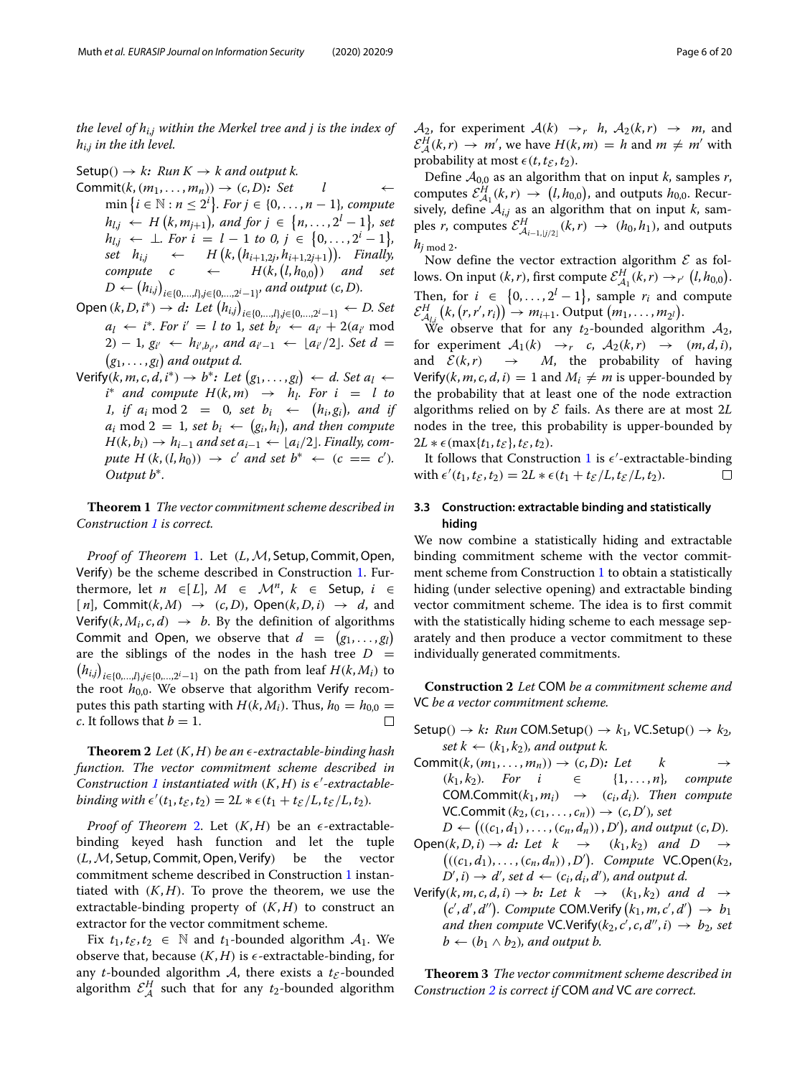*the level of hi*,*<sup>j</sup> within the Merkel tree and j is the index of hi*,*<sup>j</sup> in the ith level.*

Setup()  $\rightarrow k$ *: Run K*  $\rightarrow$  *k and output k.* Commit $(k, (m_1, \ldots, m_n)) \rightarrow (c, D)$ *: Set*  $\qquad$  *l*  $\min\left\{i \in \mathbb{N} : n \leq 2^i\right\}$ *. For*  $j \in \{0, ..., n-1\}$ *, compute*  $h_{l,j} \leftarrow H(k, m_{j+1})$ , and for  $j \in \{n, ..., 2^l - 1\}$ , set  $h_{l,j} \leftarrow \perp$ *. For*  $i = l - 1$  to 0,  $j \in \{0, ..., 2^i - 1\}$ ,  $set \t h_{i,j} \leftarrow H(k, (h_{i+1,2j}, h_{i+1,2j+1})).$  Finally,  $compute$   $c$   $\leftarrow$  $(l, h_{0,0}))$  and set  $D \leftarrow (h_{i,j})_{i \in \{0,...,l\}, j \in \{0,...,2^i-1\}}$  and output  $(c, D)$ *.* 

- Open  $(k, D, i^*)$  → *d: Let*  $(h_{i,j})_{i \in \{0, ..., l\}, j \in \{0, ..., 2^i-1\}}$  ← *D. Set*  $a_l \leftarrow i^*$ *. For*  $i' = l$  to 1*, set*  $b_{i'} \leftarrow a_{i'} + 2(a_{i'} \mod n)$ 2) − 1*, g<sub>i'</sub>* ←  $h_{i',b_{i'}}$ *, and a<sub>i'-1</sub>* ←  $\lfloor a_{i'}/2 \rfloor$ *. Set d* =  $(g_1, \ldots, g_l)$  and output d.
- $\mathsf{Verify}(k,m,c,d,i^*) \rightarrow b^* \colon \mathit{Let} \ (g_1,\ldots,g_l) \ \leftarrow \ d. \ \mathit{Set} \ a_l \leftarrow$  $i^*$  *and compute*  $H(k,m) \rightarrow h_l$ . For  $i = l$  to 1, if  $a_i \mod 2 = 0$ , set  $b_i \leftarrow (h_i, g_i)$ , and if  $a_i \text{ mod } 2 = 1$ *, set*  $b_i \leftarrow (g_i, h_i)$ *, and then compute*  $H(k, b_i) \rightarrow h_{i-1}$  and set  $a_{i-1} \leftarrow [a_i/2]$ . Finally, com $pute H(k, (l, h_0)) \rightarrow c' and set b^* \leftarrow (c == c').$ *Output b*∗*.*

<span id="page-5-0"></span>**Theorem 1** *The vector commitment scheme described in Construction [1](#page-4-2) is correct.*

*Proof of Theorem [1.](#page-5-0) Let (L, M, Setup, Commit, Open,* Verify) be the scheme described in Construction [1.](#page-4-2) Furthermore, let  $n \in [L]$ ,  $M \in \mathcal{M}^n$ ,  $k \in$  Setup,  $i \in$  $[n]$ , Commit $(k, M) \rightarrow (c, D)$ , Open $(k, D, i) \rightarrow d$ , and Verify( $k$ ,  $M_i$ ,  $c$ ,  $d$ )  $\rightarrow$   $b$ . By the definition of algorithms Commit and Open, we observe that  $d = (g_1, \ldots, g_l)$ are the siblings of the nodes in the hash tree *D* =  $(h_{i,j})_{i \in \{0,\dots,2^i-1\}}$  on the path from leaf *H*(*k*, *M<sub>i</sub>*) to the root  $h_{0,0}$ . We observe that algorithm Verify recomputes this path starting with *H*(*k*, *M<sub>i</sub>*). Thus, *h*<sub>0</sub> = *h*<sub>0,0</sub> = *c*. It follows that *b* = 1. *c*. It follows that  $b = 1$ .

<span id="page-5-1"></span>**Theorem 2** *Let*  $(K, H)$  *be an*  $\epsilon$ -extractable-binding hash *function. The vector commitment scheme described in* Construction [1](#page-4-2) instantiated with  $(K, H)$  is  $\epsilon'$ -extractable*binding with*  $\epsilon'(t_1, t_{\mathcal{E}}, t_2) = 2L * \epsilon(t_1 + t_{\mathcal{E}}/L, t_{\mathcal{E}}/L, t_2)$ .

*Proof of Theorem* [2.](#page-5-1) Let  $(K, H)$  be an  $\epsilon$ -extractablebinding keyed hash function and let the tuple (*L*,M, Setup, Commit,Open, Verify) be the vector commitment scheme described in Construction [1](#page-4-2) instantiated with  $(K, H)$ . To prove the theorem, we use the extractable-binding property of  $(K, H)$  to construct an extractor for the vector commitment scheme.

Fix  $t_1, t_{\mathcal{E}}, t_2 \in \mathbb{N}$  and  $t_1$ -bounded algorithm  $\mathcal{A}_1$ . We observe that, because  $(K, H)$  is  $\epsilon$ -extractable-binding, for any *t*-bounded algorithm  $A$ , there exists a  $t_{\mathcal{E}}$ -bounded algorithm  $\mathcal{E}_{\mathcal{A}}^{H}$  such that for any  $t_2$ -bounded algorithm

 $\mathcal{A}_2$ , for experiment  $\mathcal{A}(k) \rightarrow r$  *h*,  $\mathcal{A}_2(k,r) \rightarrow m$ , and  $\mathcal{E}_{\mathcal{A}}^{H}(k,r) \rightarrow m'$ , we have  $H(k,m) = h$  and  $m \neq m'$  with probability at most  $\epsilon(t, t_{\mathcal{E}}, t_2)$ .

Define  $A_{0,0}$  as an algorithm that on input *k*, samples *r*, computes  $\mathcal{E}^{H}_{\mathcal{A}_1}(k,r) \rightarrow (l, h_{0,0})$ , and outputs  $h_{0,0}$ . Recursively, define  $A_{i,j}$  as an algorithm that on input *k*, samples *r*, computes  $\mathcal{E}_{\mathcal{A}_{i-1,j/2}]}^H(k,r) \rightarrow (h_0, h_1)$ , and outputs  $h_j$  mod 2.

Now define the vector extraction algorithm  $\mathcal E$  as follows. On input  $(k, r)$ , first compute  $\mathcal{E}_{\mathcal{A}_1}^H(k, r) \to_{r'} (l, h_{0,0})$ . Then, for  $i \in \{0, \ldots, 2^l-1\}$ , sample  $r_i$  and compute  $\mathcal{E}_{\mathcal{A}_{l,i}}^{H}(k,(r,r',r_i)) \rightarrow m_{i+1}$ . Output  $(m_1,\ldots,m_{2^l})$ .

 $A_{l,i}$  ( $\ldots$ ,  $\ldots$ ,  $\ldots$ ,  $\ldots$ ,  $\ldots$ ,  $\ldots$ ,  $\ldots$ ,  $\ldots$ ,  $\ldots$ ,  $\ldots$ ,  $\ldots$ ,  $\ldots$ ,  $\ldots$ ,  $\ldots$ ,  $\ldots$ ,  $\ldots$ ,  $\ldots$ ,  $\ldots$ ,  $\ldots$ ,  $\ldots$ ,  $\ldots$ ,  $\ldots$ ,  $\ldots$ ,  $\ldots$ ,  $\ldots$ ,  $\ldots$ ,  $\ldots$ ,  $\ldots$ ,  $\ldots$ ,  $\ldots$ ,  $\$ for experiment  $A_1(k) \rightarrow r$  *c*,  $A_2(k,r) \rightarrow (m, d, i)$ ,<br>and  $\mathcal{E}(k,r) \rightarrow M$ , the probability of having *M*, the probability of having Verify( $k$ ,  $m$ ,  $c$ ,  $d$ ,  $i$ ) = 1 and  $M_i \neq m$  is upper-bounded by the probability that at least one of the node extraction algorithms relied on by E fails. As there are at most 2*L* nodes in the tree, this probability is upper-bounded by  $2L * \epsilon$  (max{*t*<sub>1</sub>, *t*<sub>*f*</sub>}, *t*<sub>*f*</sub>, *t*<sub>2</sub>).

It follows that Construction [1](#page-4-2) is  $\epsilon'$ -extractable-binding with  $\epsilon'(t_1, t_{\mathcal{E}}, t_2) = 2L * \epsilon(t_1 + t_{\mathcal{E}}/L, t_{\mathcal{E}}/L, t_2).$  $\Box$ 

### **3.3 Construction: extractable binding and statistically hiding**

We now combine a statistically hiding and extractable binding commitment scheme with the vector commitment scheme from Construction [1](#page-4-2) to obtain a statistically hiding (under selective opening) and extractable binding vector commitment scheme. The idea is to first commit with the statistically hiding scheme to each message separately and then produce a vector commitment to these individually generated commitments.

<span id="page-5-2"></span>**Construction 2** *Let* COM *be a commitment scheme and* VC *be a vector commitment scheme.*

Setup()  $\rightarrow k$ *: Run* COM.Setup()  $\rightarrow k_1$ , VC.Setup()  $\rightarrow k_2$ ,  $set k \leftarrow (k_1, k_2)$ , and output k.

- Commit $(k, (m_1, \ldots, m_n)) \rightarrow (c, D)$ : Let k<br>  $(k_1, k_2)$ . For  $i \in \{1, \ldots, n\}$  $\{1, \ldots, n\}$ , compute  $COM. Commit(k_1, m_i) \rightarrow (c_i, d_i)$ . Then compute  $VC.Commit(k_2,(c_1,\ldots,c_n)) \rightarrow (c,D'), set$
- $D \leftarrow ((c_1, d_1), \ldots, (c_n, d_n))$ , *D'*), and output  $(c, D)$ .  $Open(k, D, i) \rightarrow d$ : Let  $k \rightarrow (k_1, k_2)$  and  $D \rightarrow$  $((c_1, d_1), \ldots, (c_n, d_n))$ , *D'*). *Compute* VC.Open( $k_2$ ,  $D', i) \rightarrow d'$ , set  $d \leftarrow (c_i, d_i, d')$ , and output d.
- $\mathsf{Verify}(k, m, c, d, i) \to b$ : Let  $k \to (k_1, k_2)$  and  $d \to$  $(c', d', d'')$ . *Compute* COM.Verify  $(k_1, m, c', d') \rightarrow b_1$ *and then compute* VC.Verify $(k_2, c', c, d'', i) \rightarrow b_2$ , set  $b \leftarrow (b_1 \wedge b_2)$ , and output b.

<span id="page-5-3"></span>**Theorem 3** *The vector commitment scheme described in Construction [2](#page-5-2) is correct if* COM *and* VC *are correct.*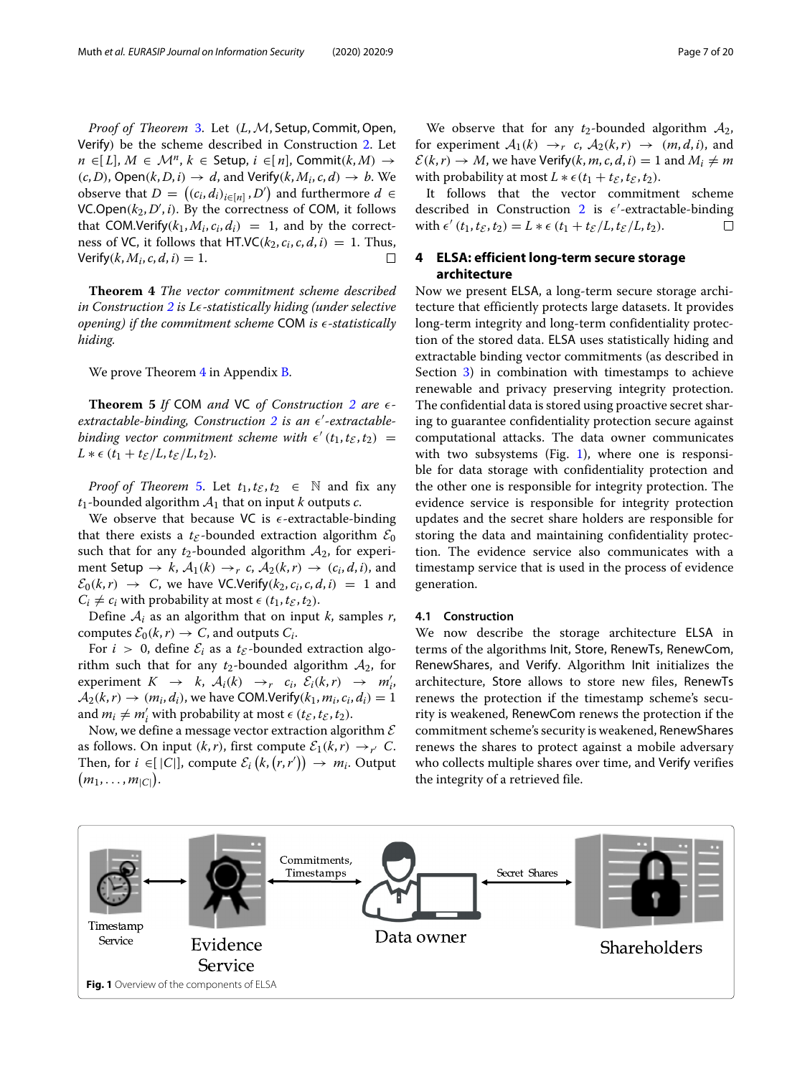*Proof of Theorem [3.](#page-5-3) Let (L, M, Setup, Commit, Open,* Verify) be the scheme described in Construction [2.](#page-5-2) Let *n* ∈[*L*], *M* ∈ *M<sup>n</sup>*, *k* ∈ Setup, *i* ∈[*n*], Commit(*k*, *M*) →  $(c, D)$ , Open $(k, D, i) \rightarrow d$ , and Verify $(k, M_i, c, d) \rightarrow b$ . We observe that *D* =  $((c_i, d_i)_{i \in [n]}, D')$  and furthermore *d* ∈  $VC.Open(k_2,D',i)$ . By the correctness of COM, it follows that COM.Verify( $k_1, M_i, c_i, d_i$ ) = 1, and by the correctness of VC, it follows that HT.VC( $k_2$ ,  $c_i$ ,  $c$ ,  $d$ ,  $i$ ) = 1. Thus,<br>Verify( $k$ ,  $M_i$ ,  $c$ ,  $d$ ,  $i$ ) = 1 Verify( $k$ ,  $M_i$ ,  $c$ ,  $d$ ,  $i$ ) = 1.

<span id="page-6-1"></span>**Theorem 4** *The vector commitment scheme described in Construction [2](#page-5-2) is L-statistically hiding (under selective opening) if the commitment scheme* COM *is -statistically hiding.*

We prove Theorem [4](#page-6-1) in Appendix [B.](#page-17-0)

<span id="page-6-2"></span>**Theorem 5** *If* COM *and* VC *of Construction [2](#page-5-2) are extractable-binding, Construction [2](#page-5-2) is an -extractablebinding vector commitment scheme with*  $\epsilon'(t_1, t_{\mathcal{E}}, t_2) =$  $L * \epsilon (t_1 + t_{\mathcal{E}}/L, t_{\mathcal{E}}/L, t_2)$ .

*Proof of Theorem* [5.](#page-6-2) Let  $t_1, t_{\mathcal{E}}, t_2 \in \mathbb{N}$  and fix any  $t_1$ -bounded algorithm  $A_1$  that on input *k* outputs *c*.

We observe that because VC is  $\epsilon$ -extractable-binding that there exists a  $t_{\mathcal{E}}$ -bounded extraction algorithm  $\mathcal{E}_0$ such that for any  $t_2$ -bounded algorithm  $A_2$ , for experiment Setup  $\rightarrow k$ ,  $\mathcal{A}_1(k) \rightarrow_r c$ ,  $\mathcal{A}_2(k,r) \rightarrow (c_i, d, i)$ , and  $\mathcal{E}_0(k,r) \rightarrow C$ , we have VC.Verify( $k_2, c_i, c, d, i$ ) = 1 and  $C_i \neq c_i$  with probability at most  $\epsilon$  ( $t_1, t_{\mathcal{E}}, t_2$ ).

Define  $A_i$  as an algorithm that on input *k*, samples *r*, computes  $\mathcal{E}_0(k,r) \to C$ , and outputs  $C_i$ .

For  $i > 0$ , define  $\mathcal{E}_i$  as a  $t_{\mathcal{E}}$ -bounded extraction algorithm such that for any  $t_2$ -bounded algorithm  $A_2$ , for experiment  $K \rightarrow k$ ,  $A_i(k) \rightarrow r$   $c_i$ ,  $\mathcal{E}_i(k,r) \rightarrow m'_i$ ,  $A_2(k,r) \rightarrow (m_i, d_i)$ , we have COM.Verify $(k_1, m_i, c_i, d_i) = 1$ and  $m_i \neq m'_i$  with probability at most  $\epsilon$  ( $t_{\mathcal{E}}, t_{\mathcal{E}}, t_2$ ).

Now, we define a message vector extraction algorithm  $\mathcal E$ as follows. On input  $(k, r)$ , first compute  $\mathcal{E}_1(k, r) \rightarrow_{r'} C$ . Then, for  $i \in [|C|]$ , compute  $\mathcal{E}_i(k, (r, r')) \to m_i$ . Output  $(m_1, \ldots, m_{|C|}).$ 

We observe that for any  $t_2$ -bounded algorithm  $A_2$ , for experiment  $A_1(k) \rightarrow_r c$ ,  $A_2(k,r) \rightarrow (m, d, i)$ , and  $\mathcal{E}(k,r) \to M$ , we have Verify(*k*, *m*, *c*, *d*, *i*) = 1 and  $M_i \neq m$ with probability at most  $L * \epsilon(t_1 + t_{\mathcal{E}}, t_{\mathcal{E}}, t_2)$ .

It follows that the vector commitment scheme described in Construction [2](#page-5-2) is  $\epsilon'$ -extractable-binding  $\text{with } \epsilon'(t_1, t_2, t_2) = L * \epsilon(t_1 + t_2/L, t_2/L, t_2).$  $\Box$ 

# <span id="page-6-0"></span>**4 ELSA: efficient long-term secure storage architecture**

Now we present ELSA, a long-term secure storage architecture that efficiently protects large datasets. It provides long-term integrity and long-term confidentiality protection of the stored data. ELSA uses statistically hiding and extractable binding vector commitments (as described in Section [3\)](#page-4-0) in combination with timestamps to achieve renewable and privacy preserving integrity protection. The confidential data is stored using proactive secret sharing to guarantee confidentiality protection secure against computational attacks. The data owner communicates with two subsystems (Fig. [1\)](#page-6-3), where one is responsible for data storage with confidentiality protection and the other one is responsible for integrity protection. The evidence service is responsible for integrity protection updates and the secret share holders are responsible for storing the data and maintaining confidentiality protection. The evidence service also communicates with a timestamp service that is used in the process of evidence generation.

#### **4.1 Construction**

We now describe the storage architecture ELSA in terms of the algorithms Init, Store, RenewTs, RenewCom, RenewShares, and Verify. Algorithm Init initializes the architecture, Store allows to store new files, RenewTs renews the protection if the timestamp scheme's security is weakened, RenewCom renews the protection if the commitment scheme's security is weakened, RenewShares renews the shares to protect against a mobile adversary who collects multiple shares over time, and Verify verifies the integrity of a retrieved file.

<span id="page-6-3"></span>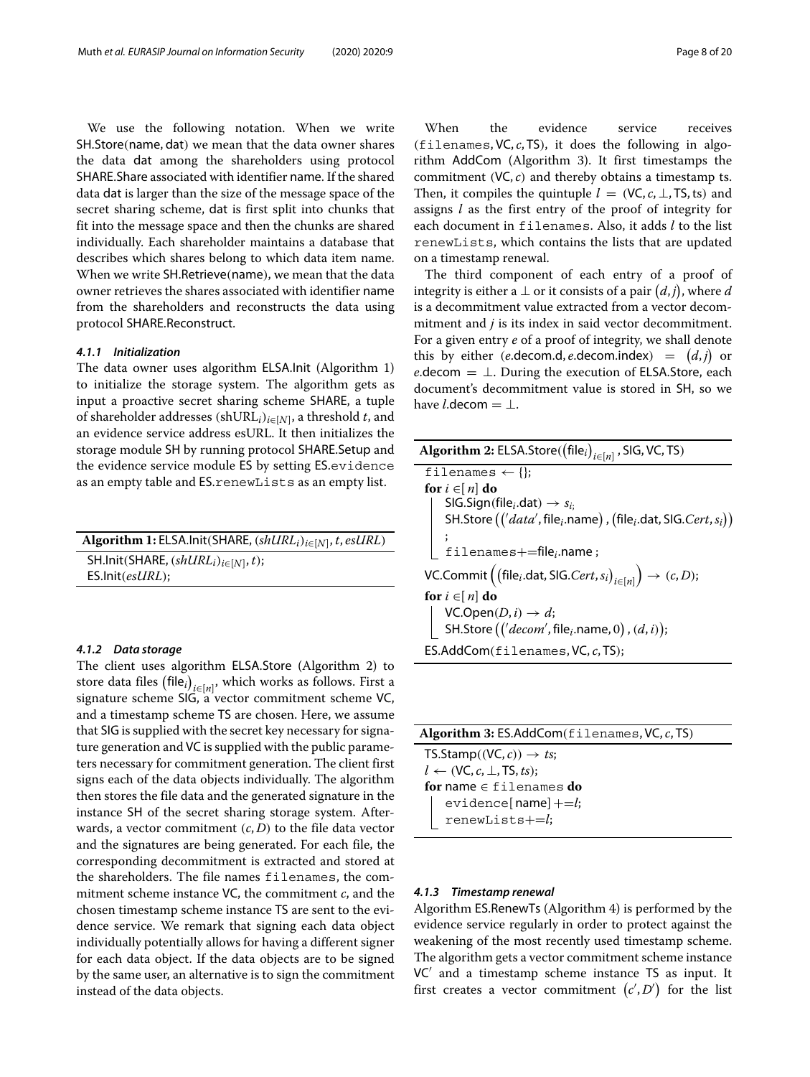We use the following notation. When we write SH.Store(name, dat) we mean that the data owner shares the data dat among the shareholders using protocol SHARE.Share associated with identifier name. If the shared data dat is larger than the size of the message space of the secret sharing scheme, dat is first split into chunks that fit into the message space and then the chunks are shared individually. Each shareholder maintains a database that describes which shares belong to which data item name. When we write SH.Retrieve(name), we mean that the data owner retrieves the shares associated with identifier name from the shareholders and reconstructs the data using protocol SHARE.Reconstruct.

#### *4.1.1 Initialization*

The data owner uses algorithm ELSA.Init (Algorithm 1) to initialize the storage system. The algorithm gets as input a proactive secret sharing scheme SHARE, a tuple of shareholder addresses (shURL*i*)*i*∈[*<sup>N</sup>*], a threshold *t*, and an evidence service address esURL. It then initializes the storage module SH by running protocol SHARE.Setup and the evidence service module ES by setting ES.evidence as an empty table and ES.renewLists as an empty list.

| Algorithm 1: ELSA. Init (SHARE, $(shURL_i)_{i \in [N]}$ , t, esURL) |
|---------------------------------------------------------------------|
| SH.Init(SHARE, $(shURLi)i \in [N]$ , t);                            |
| $ES .hit(esURL);$                                                   |

#### *4.1.2 Data storage*

The client uses algorithm ELSA.Store (Algorithm 2) to store data files (file<sub>*i*)<sub>*i*∈[*n*]</sub>, which works as follows. First a</sub> signature scheme SIG, a vector commitment scheme VC, and a timestamp scheme TS are chosen. Here, we assume that SIG is supplied with the secret key necessary for signature generation and VC is supplied with the public parameters necessary for commitment generation. The client first signs each of the data objects individually. The algorithm then stores the file data and the generated signature in the instance SH of the secret sharing storage system. Afterwards, a vector commitment (*c*, *D*) to the file data vector and the signatures are being generated. For each file, the corresponding decommitment is extracted and stored at the shareholders. The file names filenames, the commitment scheme instance VC, the commitment *c*, and the chosen timestamp scheme instance TS are sent to the evidence service. We remark that signing each data object individually potentially allows for having a different signer for each data object. If the data objects are to be signed by the same user, an alternative is to sign the commitment instead of the data objects.

When the evidence service receives (filenames, VC, *c*, TS), it does the following in algorithm AddCom (Algorithm 3). It first timestamps the commitment (VC, *c*) and thereby obtains a timestamp ts. Then, it compiles the quintuple  $l = (VC, c, \perp, TS, ts)$  and assigns *l* as the first entry of the proof of integrity for each document in filenames. Also, it adds *l* to the list renewLists, which contains the lists that are updated on a timestamp renewal.

The third component of each entry of a proof of integrity is either a  $\bot$  or it consists of a pair  $(d, j)$ , where  $d$ is a decommitment value extracted from a vector decommitment and *j* is its index in said vector decommitment. For a given entry *e* of a proof of integrity, we shall denote this by either (*e*.decom.d, *e*.decom.index)  $=$   $(d, j)$  or *e*.decom  $= \perp$ . During the execution of ELSA.Store, each document's decommitment value is stored in SH, so we have *l*.decom  $= \perp$ .

| Algorithm 2: ELSA.Store( $(\text{file}_i)_{i \in [n]}$ , SIG, VC, TS)                                                                                                        |
|------------------------------------------------------------------------------------------------------------------------------------------------------------------------------|
| filenames $\leftarrow \{\}$ ;                                                                                                                                                |
| for $i \in [n]$ do                                                                                                                                                           |
|                                                                                                                                                                              |
| SIG.Sign(file <sub>i</sub> .dat) $\rightarrow s_{i}$ ;<br>SH.Store ((' <i>data'</i> , file <sub>i</sub> .name), (file <sub>i</sub> .dat, SIG. <i>Cert, s</i> <sub>i</sub> )) |
|                                                                                                                                                                              |
| $filenames+=file_i.name;$                                                                                                                                                    |
| VC.Commit $((\text{file}_i.\text{dat},\text{SIG}.Cert, s_i)_{i \in [n]}) \rightarrow (c, D);$                                                                                |
| for $i \in [n]$ do                                                                                                                                                           |
|                                                                                                                                                                              |
| VC.Open( <i>D</i> , <i>i</i> ) $\rightarrow$ <i>d</i> ;<br>SH.Store ((' <i>decom'</i> , file <sub><i>i</i></sub> .name, 0), ( <i>d</i> , <i>i</i> ));                        |
| ES.AddCom(filenames, VC, c, TS);                                                                                                                                             |

| <b>Algorithm 3: ES.AddCom</b> $(f$ ilenames, VC, $c$ , TS) |
|------------------------------------------------------------|
| TS.Stamp( $(VC, c)$ ) $\rightarrow ts$ ;                   |
| $l \leftarrow (VC, c, \perp, TS, ts);$                     |
| for name $\in$ filenames do                                |
| evidence[name] $+=l;$                                      |
| renewLists+=l;                                             |
|                                                            |

#### *4.1.3 Timestamp renewal*

Algorithm ES.RenewTs (Algorithm 4) is performed by the evidence service regularly in order to protect against the weakening of the most recently used timestamp scheme. The algorithm gets a vector commitment scheme instance  $VC'$  and a timestamp scheme instance TS as input. It first creates a vector commitment  $(c', D')$  for the list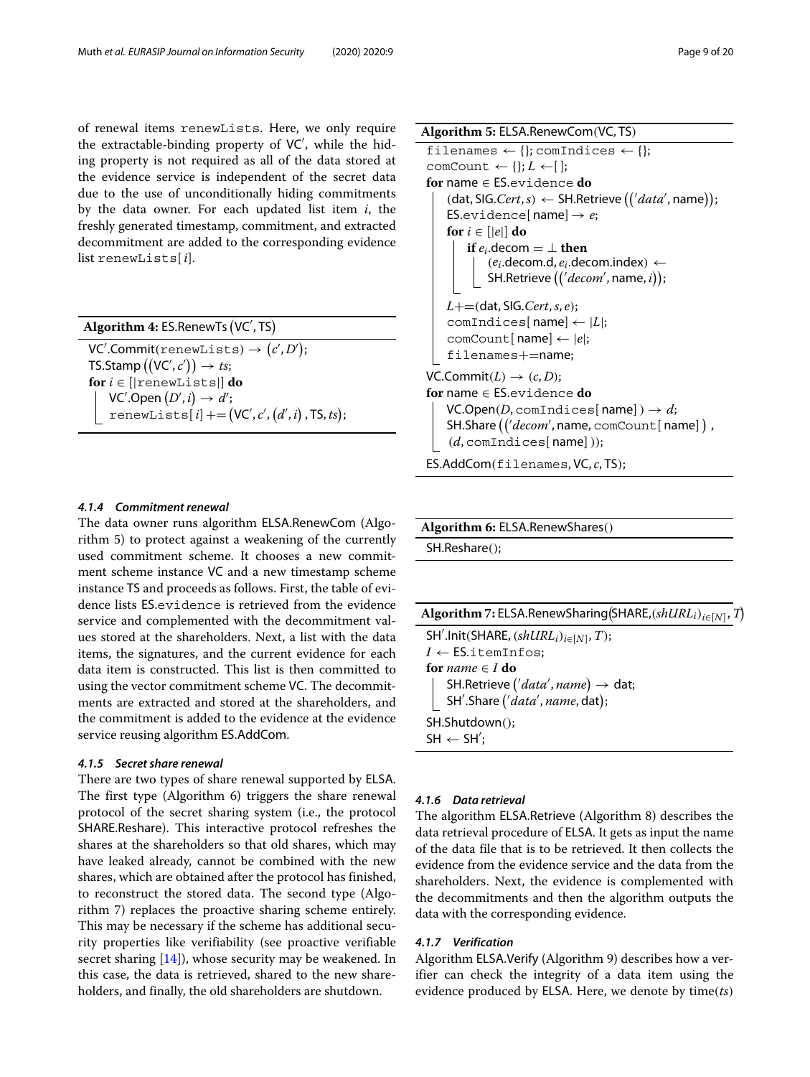of renewal items renewLists. Here, we only require the extractable-binding property of VC , while the hiding property is not required as all of the data stored at the evidence service is independent of the secret data due to the use of unconditionally hiding commitments by the data owner. For each updated list item *i*, the freshly generated timestamp, commitment, and extracted decommitment are added to the corresponding evidence list renewLists[ *i*].

**Algorithm 4:** ES.RenewTs VC , TS  $\mathsf{VC}^\prime.\mathsf{Commit}(\mathtt{renewLists}) \rightarrow \big(c^\prime,D^\prime\big);$  $\mathsf{T}$ S.Stamp  $\big(\big(\mathsf{VC}',c'\big)\big)\rightarrow \mathit{ts};$  $for i \in [|$ renewLists $|$ **do** VC $^{\prime}$ .Open  $(D^{\prime}, i) \rightarrow d^{\prime}$ ;  $\texttt{renewLists}[i] \text{+=} (\textsf{VC}', c', (d', i) \text{}, \textsf{TS}, \textit{ts});$ 

#### *4.1.4 Commitment renewal*

The data owner runs algorithm ELSA.RenewCom (Algorithm 5) to protect against a weakening of the currently used commitment scheme. It chooses a new commitment scheme instance VC and a new timestamp scheme instance TS and proceeds as follows. First, the table of evidence lists ES.evidence is retrieved from the evidence service and complemented with the decommitment values stored at the shareholders. Next, a list with the data items, the signatures, and the current evidence for each data item is constructed. This list is then committed to using the vector commitment scheme VC. The decommitments are extracted and stored at the shareholders, and the commitment is added to the evidence at the evidence service reusing algorithm ES.AddCom.

#### *4.1.5 Secret share renewal*

There are two types of share renewal supported by ELSA. The first type (Algorithm 6) triggers the share renewal protocol of the secret sharing system (i.e., the protocol SHARE.Reshare). This interactive protocol refreshes the shares at the shareholders so that old shares, which may have leaked already, cannot be combined with the new shares, which are obtained after the protocol has finished, to reconstruct the stored data. The second type (Algorithm 7) replaces the proactive sharing scheme entirely. This may be necessary if the scheme has additional security properties like verifiability (see proactive verifiable secret sharing  $[14]$ , whose security may be weakened. In this case, the data is retrieved, shared to the new shareholders, and finally, the old shareholders are shutdown.

**Algorithm 5:** ELSA.RenewCom(VC, TS) filenames  $\leftarrow \{\}$ ; comIndices  $\leftarrow \{\}$ ; comCount  $\leftarrow \{\}; L \leftarrow [\;]$ ; **for** name ∈ ES.evidence **do**  $(\textsf{dat},\textsf{SIG}.Cert, s) \leftarrow \textsf{SH}.\textsf{Retrieve}\left(\left\langle \textit{data}',\textsf{name}\right.\right);$ ES.evidence[ $name] \rightarrow e$ ; **for**  $i \in \{ |e| \}$  **do if**  $e_i$ **.decom** =  $\perp$  **then**  $(e_i$ .decom.d,  $e_i$ .decom.index)  $\leftarrow$ SH.Retrieve  $((\forall decom',\textsf{name},i));$ *L*+=(dat, SIG.*Cert*,*s*, *e*); comIndices[ name]← |*L*|; comCount[ name]← |*e*|; filenames+=name;  $VC.Commit(L) \rightarrow (c, D)$ ; **for** name ∈ ES.evidence **do**  $VC.Open(D, commutices[name]) \rightarrow d;$ **SH.Share** (('decom', name,  $\text{comCount}$ [name]), (*d*, comIndices[ name]));

# ES.AddCom(filenames, VC, *c*, TS);

# **Algorithm 6:** ELSA.RenewShares() SH.Reshare();

| Algorithm 7: ELSA.RenewSharing (SHARE, $(shURL_i)_{i \in [N]}$ , T) |
|---------------------------------------------------------------------|
| SH'.lnit(SHARE, $(shURL_i)_{i \in [N]}$ , T);                       |
| $I \leftarrow$ ES.itemInfos;                                        |
| for <i>name</i> $\in$ <i>I</i> do                                   |
| SH.Retrieve $('data', name) \rightarrow dat;$                       |
| SH'.Share ('aata', name, dat);                                      |
| SH.Shutdown();                                                      |
| $SH \leftarrow SH';$                                                |
|                                                                     |

# *4.1.6 Data retrieval*

The algorithm ELSA.Retrieve (Algorithm 8) describes the data retrieval procedure of ELSA. It gets as input the name of the data file that is to be retrieved. It then collects the evidence from the evidence service and the data from the shareholders. Next, the evidence is complemented with the decommitments and then the algorithm outputs the data with the corresponding evidence.

#### *4.1.7 Verification*

Algorithm ELSA.Verify (Algorithm 9) describes how a verifier can check the integrity of a data item using the evidence produced by ELSA. Here, we denote by time(*ts*)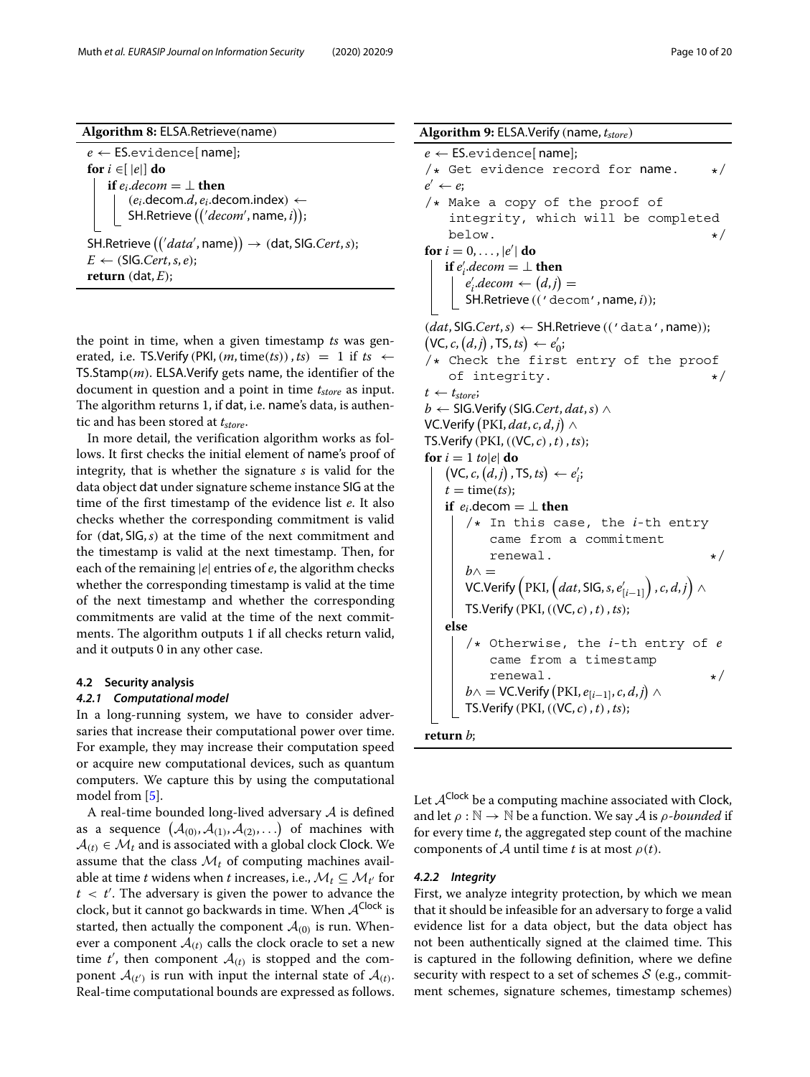$e \leftarrow$  **ES.**evidence[name]; **for**  $i \in [e]$  **do if**  $e_i$ *.decom* =  $\perp$  **then**  $(e_i$ .decom. $d, e_i$ .decom.index)  $\leftarrow$ SH.Retrieve  $((\forall decom',\textsf{name},i));$  $\mathsf{SH}.\mathsf{Retrieve}\left(\left\langle 'data',\mathsf{name}\right\rangle\right)\rightarrow\left(\mathsf{dat},\mathsf{SIG}.Cert,s\right);$  $E \leftarrow (SIG.Cert, s, e);$ **return** (dat, *E*);

the point in time, when a given timestamp *ts* was generated, i.e. TS.Verify (PKI,  $(m, time(ts))$ ,  $ts$ ) = 1 if  $ts \leftarrow$ TS.Stamp(*m*). ELSA.Verify gets name, the identifier of the document in question and a point in time *tstore* as input. The algorithm returns 1, if dat, i.e. name's data, is authentic and has been stored at  $t_{store}$ .

In more detail, the verification algorithm works as follows. It first checks the initial element of name's proof of integrity, that is whether the signature *s* is valid for the data object dat under signature scheme instance SIG at the time of the first timestamp of the evidence list *e*. It also checks whether the corresponding commitment is valid for (dat, SIG,*s*) at the time of the next commitment and the timestamp is valid at the next timestamp. Then, for each of the remaining |*e*| entries of *e*, the algorithm checks whether the corresponding timestamp is valid at the time of the next timestamp and whether the corresponding commitments are valid at the time of the next commitments. The algorithm outputs 1 if all checks return valid, and it outputs 0 in any other case.

#### **4.2 Security analysis**

#### *4.2.1 Computational model*

In a long-running system, we have to consider adversaries that increase their computational power over time. For example, they may increase their computation speed or acquire new computational devices, such as quantum computers. We capture this by using the computational model from [\[5\]](#page-19-10).

A real-time bounded long-lived adversary  $A$  is defined as a sequence  $(A_{(0)}, A_{(1)}, A_{(2)}, \ldots)$  of machines with  $A(t) \in \mathcal{M}_t$  and is associated with a global clock Clock. We assume that the class  $\mathcal{M}_t$  of computing machines available at time *t* widens when *t* increases, i.e.,  $\mathcal{M}_t \subseteq \mathcal{M}_{t'}$  for *t* < *t* . The adversary is given the power to advance the clock, but it cannot go backwards in time. When  $A^{Clock}$  is started, then actually the component  $A_{(0)}$  is run. Whenever a component  $A(t)$  calls the clock oracle to set a new time  $t'$ , then component  $\mathcal{A}_{(t)}$  is stopped and the component  $A_{(t)}$  is run with input the internal state of  $A_{(t)}$ . Real-time computational bounds are expressed as follows.

Algorithm 9: ELSA.Verify (name,  $t_{store}$ )  $e \leftarrow$  **ES.**evidence[name]; /\* Get evidence record for name.  $*$ /\* Make a copy of the proof of integrity, which will be completed  $\text{below.}$   $\star/$ for  $i = 0, \ldots, |e'|$  do **if**  $e'_i$  *decom* = ⊥ **then**  $e'_i$ .decom  $\leftarrow (d, j) =$ SH.Retrieve (('decom', name, *i*));  $(data, SIG.Cert, s) \leftarrow SH.Retrieve (((data', name));$  $(VC, c, (d, j), TS, ts) \leftarrow e'_0;$ /\* Check the first entry of the proof of integrity.  $\star/$ 

 $t \leftarrow t_{store}$ ; *b* ← SIG.Verify (SIG.Cert, dat, s)  $\land$ 

VC.Verify  $\big(\mathrm{PKI}, dat,c,d,j\big) \wedge$ TS.Verify (PKI,((VC, *c*), *t*), *ts*);

```
for i = 1 to|e| do
    (VC, c, (d, j), TS, ts) \leftarrow e'_i;t = \text{time}(ts);
    if e_i.decom = \perp <b>then
        /* In this case, the i-th entry
             came from a commitment
             renewal. \star/h \wedge =VC.Verify \left(\text{PKI}, \left(dat, \text{SIG}, s, e'_{[i-1]}\right), c, d, j\right) \wedgeTS.Verify (PKI,((VC, c), t), ts);
    else
        /* Otherwise, the i-th entry of e
             came from a timestamp
             renewal. \star/b \wedge = \textsf{VC}.\textsf{Verify}\left(\textsf{PKI},e_{[i-1]},c,d,j\right) \wedgeTS.Verify (PKI,((VC, c), t), ts);
```


 $e' \leftarrow e$ ;

Let  $A^{Clock}$  be a computing machine associated with Clock, and let  $\rho : \mathbb{N} \to \mathbb{N}$  be a function. We say A is  $\rho$ -bounded if for every time *t*, the aggregated step count of the machine components of A until time *t* is at most  $\rho(t)$ .

#### *4.2.2 Integrity*

First, we analyze integrity protection, by which we mean that it should be infeasible for an adversary to forge a valid evidence list for a data object, but the data object has not been authentically signed at the claimed time. This is captured in the following definition, where we define security with respect to a set of schemes  $S$  (e.g., commitment schemes, signature schemes, timestamp schemes)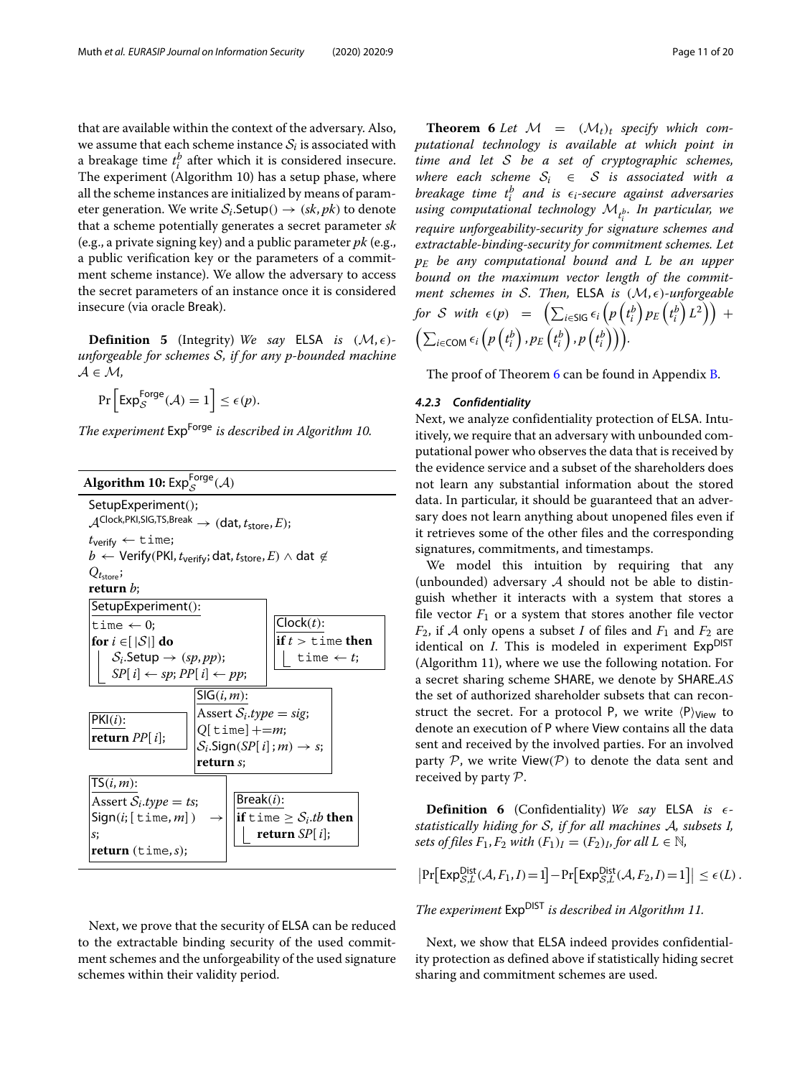that are available within the context of the adversary. Also, we assume that each scheme instance  $S_i$  is associated with a breakage time  $t_i^b$  after which it is considered insecure. The experiment (Algorithm 10) has a setup phase, where all the scheme instances are initialized by means of parameter generation. We write  $S_i$ . Setup()  $\rightarrow$  (*sk*, *pk*) to denote that a scheme potentially generates a secret parameter *sk* (e.g., a private signing key) and a public parameter *pk* (e.g., a public verification key or the parameters of a commitment scheme instance). We allow the adversary to access the secret parameters of an instance once it is considered insecure (via oracle Break).

**Definition 5** (Integrity) *We say* **ELSA** *is*  $(M, \epsilon)$ *unforgeable for schemes* S*, if for any p-bounded machine* A ∈ M*,*

$$
\Pr\left[\mathsf{Exp}^{\mathsf{Forge}}_{\mathcal{S}}(\mathcal{A})=1\right] \leq \epsilon(p).
$$

*The experiment* ExpForge *is described in Algorithm 10.*



Next, we prove that the security of ELSA can be reduced to the extractable binding security of the used commitment schemes and the unforgeability of the used signature schemes within their validity period.

<span id="page-10-0"></span>**Theorem 6** Let  $\mathcal{M} = (\mathcal{M}_t)_t$  specify which com*putational technology is available at which point in time and let* S *be a set of cryptographic schemes, where each scheme*  $S_i \in S$  *is associated with a*  $b$ reakage time  $t_{i}^{b}$  and is  $\epsilon_{i}$ -secure against adversaries *using computational technology* M*<sup>t</sup> b i . In particular, we require unforgeability-security for signature schemes and extractable-binding-security for commitment schemes. Let pE be any computational bound and L be an upper bound on the maximum vector length of the commitment schemes in S. Then, ELSA is*  $(M, \epsilon)$ -unforgeable  $f$  *br*  $S$  *with*  $\epsilon(p) = \left( \sum_{i \in S} \epsilon_i \left( p \left( t_i^b \right) p_E \left( t_i^b \right) L^2 \right) \right) + \epsilon$  $\left( \sum_{i \in \textsf{COM}} \epsilon_i \left( p \left( t^b_i \right), p_E \left( t^b_i \right), p \left( t^b_i \right) \right) \right).$ 

The proof of Theorem [6](#page-10-0) can be found in Appendix [B.](#page-17-0)

#### *4.2.3 Confidentiality*

Next, we analyze confidentiality protection of ELSA. Intuitively, we require that an adversary with unbounded computational power who observes the data that is received by the evidence service and a subset of the shareholders does not learn any substantial information about the stored data. In particular, it should be guaranteed that an adversary does not learn anything about unopened files even if it retrieves some of the other files and the corresponding signatures, commitments, and timestamps.

We model this intuition by requiring that any (unbounded) adversary  $A$  should not be able to distinguish whether it interacts with a system that stores a file vector  $F_1$  or a system that stores another file vector  $F_2$ , if A only opens a subset I of files and  $F_1$  and  $F_2$  are identical on *I*. This is modeled in experiment Exp<sup>DIST</sup> (Algorithm 11), where we use the following notation. For a secret sharing scheme SHARE, we denote by SHARE.*AS* the set of authorized shareholder subsets that can reconstruct the secret. For a protocol P, we write  $\langle P \rangle_{\text{View}}$  to denote an execution of P where View contains all the data sent and received by the involved parties. For an involved party  $P$ , we write View( $P$ ) to denote the data sent and received by party P.

**Definition 6** (Confidentiality) *We say* ELSA *is statistically hiding for* S*, if for all machines* A*, subsets I, sets of files*  $F_1, F_2$  *with*  $(F_1)_I = (F_2)_I$ *, for all*  $L \in \mathbb{N}$ *,* 

$$
\left|\Pr\left[\text{Exp}_{S,L}^{\text{Dist}}(\mathcal{A}, F_1, I) = 1\right] - \Pr\left[\text{Exp}_{S,L}^{\text{Dist}}(\mathcal{A}, F_2, I) = 1\right]\right| \le \epsilon(L).
$$

*The experiment* ExpDIST *is described in Algorithm 11.*

Next, we show that ELSA indeed provides confidentiality protection as defined above if statistically hiding secret sharing and commitment schemes are used.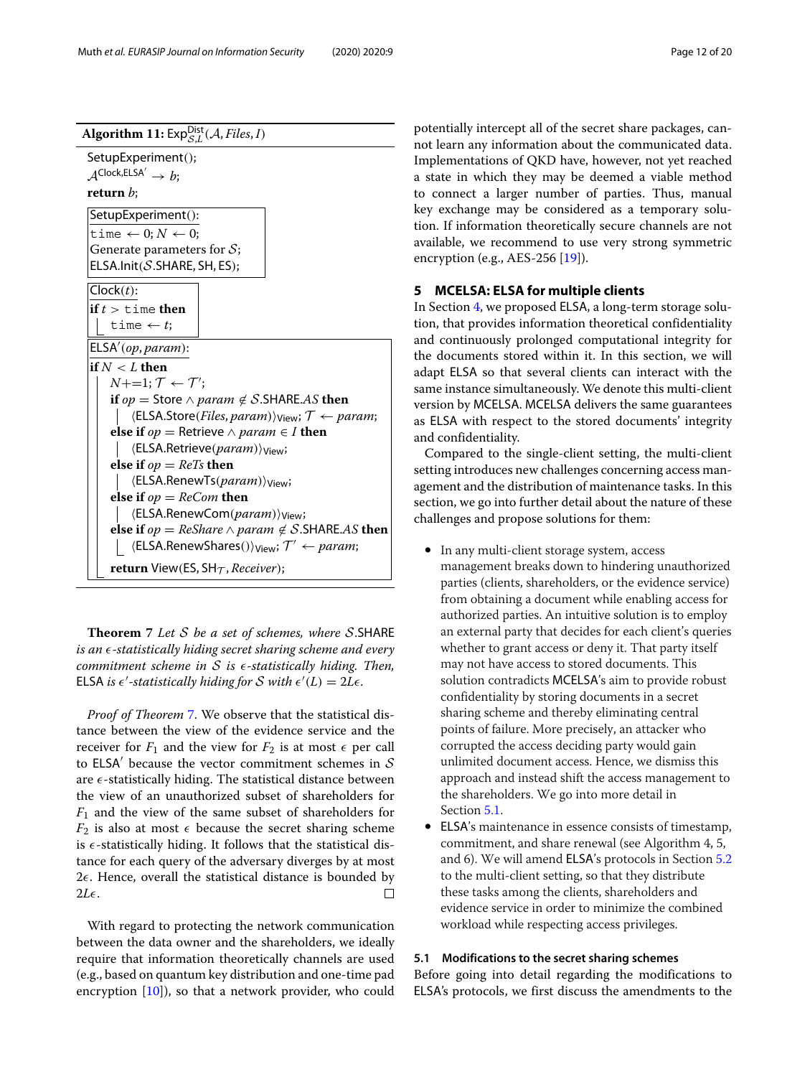

<span id="page-11-1"></span>**Theorem 7** *Let* S *be a set of schemes, where* S.SHARE *is an -statistically hiding secret sharing scheme and every commitment scheme in* S *is -statistically hiding. Then,* ELSA is  $\epsilon'$ -statistically hiding for S with  $\epsilon'(L) = 2L\epsilon$ .

*Proof of Theorem* [7.](#page-11-1) We observe that the statistical distance between the view of the evidence service and the receiver for  $F_1$  and the view for  $F_2$  is at most  $\epsilon$  per call to ELSA' because the vector commitment schemes in  $S$ are  $\epsilon$ -statistically hiding. The statistical distance between the view of an unauthorized subset of shareholders for *F*<sup>1</sup> and the view of the same subset of shareholders for  $F_2$  is also at most  $\epsilon$  because the secret sharing scheme is  $\epsilon$ -statistically hiding. It follows that the statistical distance for each query of the adversary diverges by at most  $2\epsilon$ . Hence, overall the statistical distance is bounded by  $2L\epsilon$ .  $\Box$ 

With regard to protecting the network communication between the data owner and the shareholders, we ideally require that information theoretically channels are used (e.g., based on quantum key distribution and one-time pad encryption  $[10]$ , so that a network provider, who could

potentially intercept all of the secret share packages, cannot learn any information about the communicated data. Implementations of QKD have, however, not yet reached a state in which they may be deemed a viable method to connect a larger number of parties. Thus, manual key exchange may be considered as a temporary solution. If information theoretically secure channels are not available, we recommend to use very strong symmetric encryption (e.g., AES-256 [\[19\]](#page-19-1)).

#### <span id="page-11-0"></span>**5 MCELSA: ELSA for multiple clients**

In Section [4,](#page-6-0) we proposed ELSA, a long-term storage solution, that provides information theoretical confidentiality and continuously prolonged computational integrity for the documents stored within it. In this section, we will adapt ELSA so that several clients can interact with the same instance simultaneously. We denote this multi-client version by MCELSA. MCELSA delivers the same guarantees as ELSA with respect to the stored documents' integrity and confidentiality.

Compared to the single-client setting, the multi-client setting introduces new challenges concerning access management and the distribution of maintenance tasks. In this section, we go into further detail about the nature of these challenges and propose solutions for them:

- In any multi-client storage system, access management breaks down to hindering unauthorized parties (clients, shareholders, or the evidence service) from obtaining a document while enabling access for authorized parties. An intuitive solution is to employ an external party that decides for each client's queries whether to grant access or deny it. That party itself may not have access to stored documents. This solution contradicts MCELSA's aim to provide robust confidentiality by storing documents in a secret sharing scheme and thereby eliminating central points of failure. More precisely, an attacker who corrupted the access deciding party would gain unlimited document access. Hence, we dismiss this approach and instead shift the access management to the shareholders. We go into more detail in Section [5.1.](#page-11-2)
- ELSA's maintenance in essence consists of timestamp, commitment, and share renewal (see Algorithm 4, 5, and 6). We will amend ELSA's protocols in Section [5.2](#page-12-0) to the multi-client setting, so that they distribute these tasks among the clients, shareholders and evidence service in order to minimize the combined workload while respecting access privileges.

# <span id="page-11-2"></span>**5.1 Modifications to the secret sharing schemes**

Before going into detail regarding the modifications to ELSA's protocols, we first discuss the amendments to the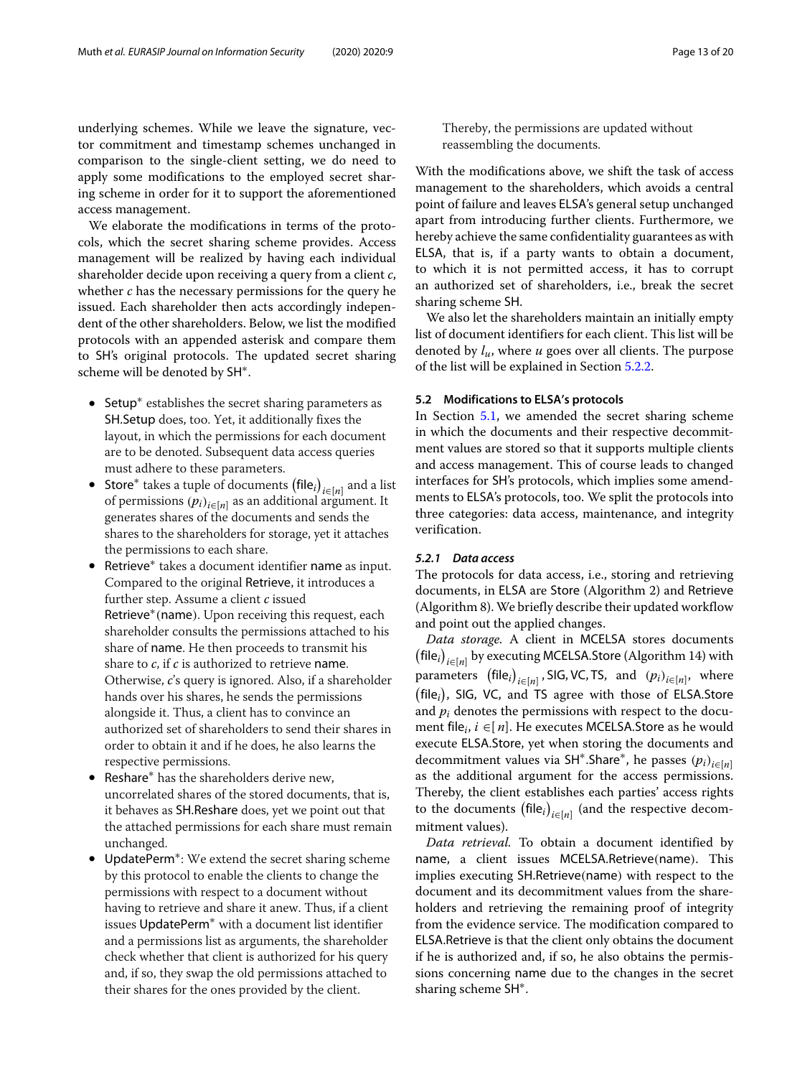underlying schemes. While we leave the signature, vector commitment and timestamp schemes unchanged in comparison to the single-client setting, we do need to apply some modifications to the employed secret sharing scheme in order for it to support the aforementioned access management.

We elaborate the modifications in terms of the protocols, which the secret sharing scheme provides. Access management will be realized by having each individual shareholder decide upon receiving a query from a client *c*, whether *c* has the necessary permissions for the query he issued. Each shareholder then acts accordingly independent of the other shareholders. Below, we list the modified protocols with an appended asterisk and compare them to SH's original protocols. The updated secret sharing scheme will be denoted by SH∗.

- Setup<sup>∗</sup> establishes the secret sharing parameters as SH.Setup does, too. Yet, it additionally fixes the layout, in which the permissions for each document are to be denoted. Subsequent data access queries must adhere to these parameters.
- Store<sup>∗</sup> takes a tuple of documents file*<sup>i</sup> <sup>i</sup>*∈[*n*] and a list of permissions  $(p_i)_{i \in [n]}$  as an additional argument. It generates shares of the documents and sends the shares to the shareholders for storage, yet it attaches the permissions to each share.
- Retrieve<sup>∗</sup> takes a document identifier name as input. Compared to the original Retrieve, it introduces a further step. Assume a client *c* issued Retrieve<sup>\*</sup>(name). Upon receiving this request, each shareholder consults the permissions attached to his share of name. He then proceeds to transmit his share to *c*, if *c* is authorized to retrieve name. Otherwise, *c*'s query is ignored. Also, if a shareholder hands over his shares, he sends the permissions alongside it. Thus, a client has to convince an authorized set of shareholders to send their shares in order to obtain it and if he does, he also learns the respective permissions.
- Reshare<sup>∗</sup> has the shareholders derive new, uncorrelated shares of the stored documents, that is, it behaves as SH.Reshare does, yet we point out that the attached permissions for each share must remain unchanged.
- UpdatePerm∗: We extend the secret sharing scheme by this protocol to enable the clients to change the permissions with respect to a document without having to retrieve and share it anew. Thus, if a client issues UpdatePerm∗ with a document list identifier and a permissions list as arguments, the shareholder check whether that client is authorized for his query and, if so, they swap the old permissions attached to their shares for the ones provided by the client.

Thereby, the permissions are updated without reassembling the documents.

With the modifications above, we shift the task of access management to the shareholders, which avoids a central point of failure and leaves ELSA's general setup unchanged apart from introducing further clients. Furthermore, we hereby achieve the same confidentiality guarantees as with ELSA, that is, if a party wants to obtain a document, to which it is not permitted access, it has to corrupt an authorized set of shareholders, i.e., break the secret sharing scheme SH.

We also let the shareholders maintain an initially empty list of document identifiers for each client. This list will be denoted by *lu*, where *u* goes over all clients. The purpose of the list will be explained in Section [5.2.2.](#page-13-0)

#### <span id="page-12-0"></span>**5.2 Modifications to ELSA's protocols**

In Section [5.1,](#page-11-2) we amended the secret sharing scheme in which the documents and their respective decommitment values are stored so that it supports multiple clients and access management. This of course leads to changed interfaces for SH's protocols, which implies some amendments to ELSA's protocols, too. We split the protocols into three categories: data access, maintenance, and integrity verification.

# *5.2.1 Data access*

The protocols for data access, i.e., storing and retrieving documents, in ELSA are Store (Algorithm 2) and Retrieve (Algorithm 8). We briefly describe their updated workflow and point out the applied changes.

*Data storage.* A client in MCELSA stores documents  $(\mathsf{file}_i)_{i \in [n]}$  by executing MCELSA.Store (Algorithm 14) with  $\text{parameters} \;\; \left(\text{file}_i\right)_{i \in [n]}, \text{ SIG, VC, TS,} \;\; \text{and} \;\; \left(p_i\right)_{i \in [n]}, \;\; \text{where}$  file*<sup>i</sup>*  , SIG, VC, and TS agree with those of ELSA.Store and *pi* denotes the permissions with respect to the document file<sub>*i*</sub>,  $i \in [n]$ . He executes MCELSA. Store as he would execute ELSA.Store, yet when storing the documents and decommitment values via SH∗.Share∗, he passes (*pi*)*i*∈[*n*] as the additional argument for the access permissions. Thereby, the client establishes each parties' access rights to the documents  $(\text{file}_i)_{i \in [n]}$  (and the respective decommitment values).

*Data retrieval.* To obtain a document identified by name, a client issues MCELSA.Retrieve(name). This implies executing SH.Retrieve(name) with respect to the document and its decommitment values from the shareholders and retrieving the remaining proof of integrity from the evidence service. The modification compared to ELSA.Retrieve is that the client only obtains the document if he is authorized and, if so, he also obtains the permissions concerning name due to the changes in the secret sharing scheme SH∗.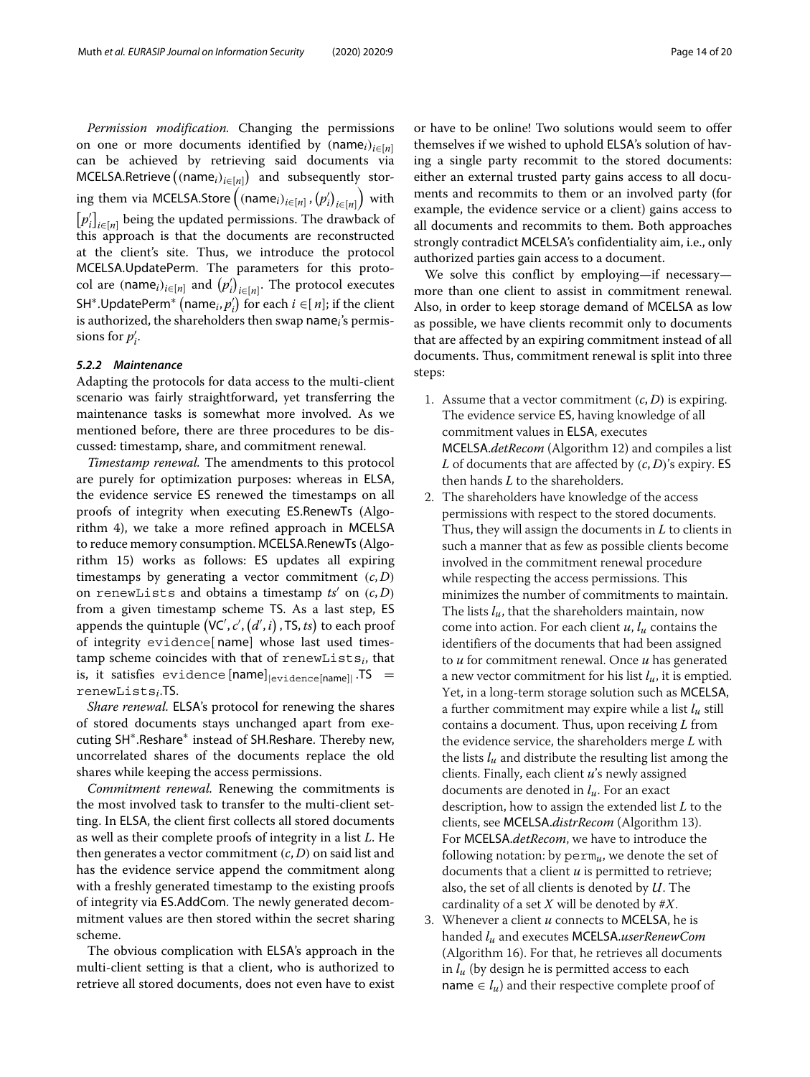*Permission modification.* Changing the permissions on one or more documents identified by  $(name_i)_{i \in [n]}$ can be achieved by retrieving said documents via MCELSA.Retrieve (name*i*)*i*∈[*n*]  and subsequently stor- $\inf_{\mathcal{F}}$  them via MCELSA.Store  $\left( \left( \mathsf{name}_i \right)_{i \in [n]}, \left( p'_i \right)_{i \in [n]} \right)$  with  $[p'_i]_{i \in [n]}$  being the updated permissions. The drawback of this approach is that the documents are reconstructed at the client's site. Thus, we introduce the protocol MCELSA.UpdatePerm. The parameters for this protocol are  $(\textsf{name}_i)_{i \in [n]}$  and  $(p'_i)_{i \in [n]}$ . The protocol executes SH<sup>\*</sup>.UpdatePerm<sup>\*</sup> (name<sub>*i*</sub>,  $p'_i$ ) for each  $i \in [n]$ ; if the client is authorized, the shareholders then swap name*i*'s permissions for  $p'_i$ .

#### <span id="page-13-0"></span>*5.2.2 Maintenance*

Adapting the protocols for data access to the multi-client scenario was fairly straightforward, yet transferring the maintenance tasks is somewhat more involved. As we mentioned before, there are three procedures to be discussed: timestamp, share, and commitment renewal.

*Timestamp renewal.* The amendments to this protocol are purely for optimization purposes: whereas in ELSA, the evidence service ES renewed the timestamps on all proofs of integrity when executing ES.RenewTs (Algorithm 4), we take a more refined approach in MCELSA to reduce memory consumption. MCELSA.RenewTs(Algorithm 15) works as follows: ES updates all expiring timestamps by generating a vector commitment  $(c, D)$ on renewLists and obtains a timestamp  $ts'$  on  $(c, D)$ from a given timestamp scheme TS. As a last step, ES appends the quintuple (VC', c', (*d*', *i*) , TS, *ts*) to each proof of integrity evidence[ name] whose last used timestamp scheme coincides with that of renewLists*i*, that is, it satisfies evidence  $[name]_{\text{evidence}[name]}$ . TS = renewLists*i*.TS.

*Share renewal.* ELSA's protocol for renewing the shares of stored documents stays unchanged apart from executing SH∗.Reshare∗ instead of SH.Reshare. Thereby new, uncorrelated shares of the documents replace the old shares while keeping the access permissions.

*Commitment renewal.* Renewing the commitments is the most involved task to transfer to the multi-client setting. In ELSA, the client first collects all stored documents as well as their complete proofs of integrity in a list *L*. He then generates a vector commitment (*c*, *D*) on said list and has the evidence service append the commitment along with a freshly generated timestamp to the existing proofs of integrity via ES.AddCom. The newly generated decommitment values are then stored within the secret sharing scheme.

The obvious complication with ELSA's approach in the multi-client setting is that a client, who is authorized to retrieve all stored documents, does not even have to exist

or have to be online! Two solutions would seem to offer themselves if we wished to uphold ELSA's solution of having a single party recommit to the stored documents: either an external trusted party gains access to all documents and recommits to them or an involved party (for example, the evidence service or a client) gains access to all documents and recommits to them. Both approaches strongly contradict MCELSA's confidentiality aim, i.e., only authorized parties gain access to a document.

We solve this conflict by employing—if necessary more than one client to assist in commitment renewal. Also, in order to keep storage demand of MCELSA as low as possible, we have clients recommit only to documents that are affected by an expiring commitment instead of all documents. Thus, commitment renewal is split into three steps:

- 1. Assume that a vector commitment  $(c, D)$  is expiring. The evidence service ES, having knowledge of all commitment values in ELSA, executes MCELSA.*detRecom* (Algorithm 12) and compiles a list *L* of documents that are affected by (*c*, *D*)'s expiry. ES then hands *L* to the shareholders.
- 2. The shareholders have knowledge of the access permissions with respect to the stored documents. Thus, they will assign the documents in *L* to clients in such a manner that as few as possible clients become involved in the commitment renewal procedure while respecting the access permissions. This minimizes the number of commitments to maintain. The lists *lu*, that the shareholders maintain, now come into action. For each client *u*, *lu* contains the identifiers of the documents that had been assigned to *u* for commitment renewal. Once *u* has generated a new vector commitment for his list *lu*, it is emptied. Yet, in a long-term storage solution such as MCELSA, a further commitment may expire while a list *lu* still contains a document. Thus, upon receiving *L* from the evidence service, the shareholders merge *L* with the lists  $l_u$  and distribute the resulting list among the clients. Finally, each client *u*'s newly assigned documents are denoted in *lu*. For an exact description, how to assign the extended list *L* to the clients, see MCELSA.*distrRecom* (Algorithm 13). For MCELSA.*detRecom*, we have to introduce the following notation: by perm*u*, we denote the set of documents that a client *u* is permitted to retrieve; also, the set of all clients is denoted by *U*. The cardinality of a set *X* will be denoted by #*X*.
- 3. Whenever a client *u* connects to MCELSA, he is handed *lu* and executes MCELSA.*userRenewCom* (Algorithm 16). For that, he retrieves all documents in *lu* (by design he is permitted access to each name  $\in l_u$ ) and their respective complete proof of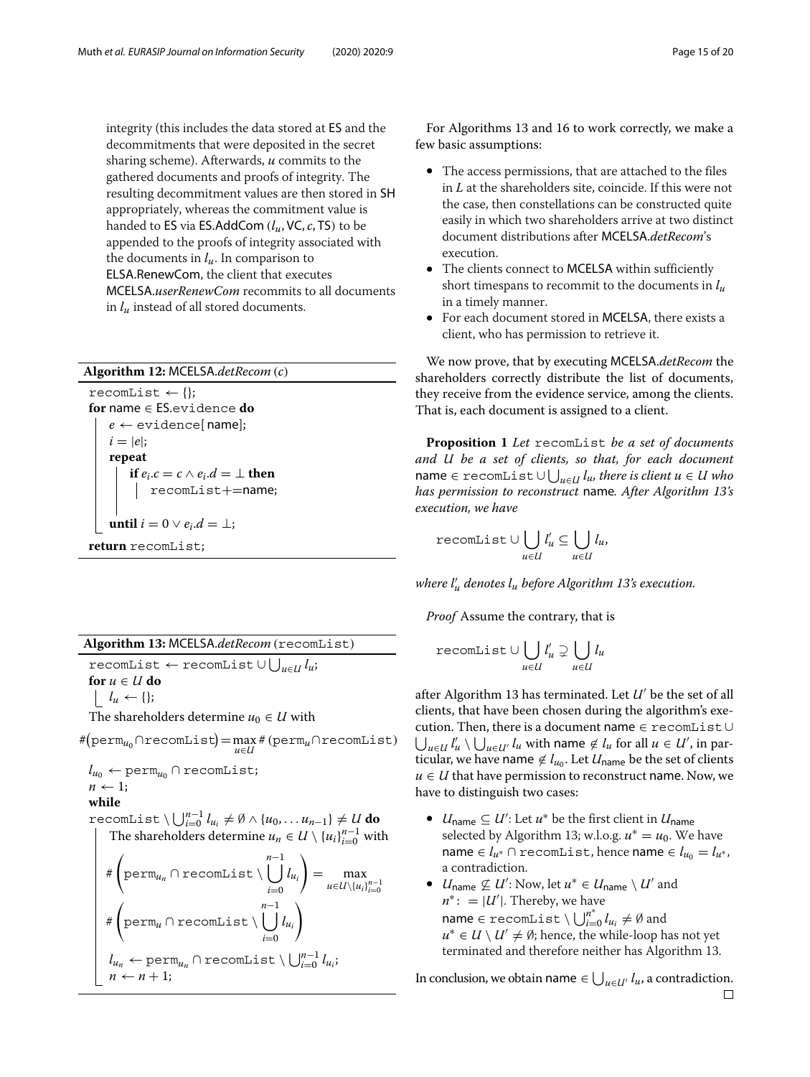integrity (this includes the data stored at ES and the decommitments that were deposited in the secret sharing scheme). Afterwards, *u* commits to the gathered documents and proofs of integrity. The resulting decommitment values are then stored in SH appropriately, whereas the commitment value is handed to ES via ES.AddCom (*lu*, VC, *c*, TS) to be appended to the proofs of integrity associated with the documents in  $l_u$ . In comparison to ELSA.RenewCom, the client that executes MCELSA.*userRenewCom* recommits to all documents in *lu* instead of all stored documents.

### **Algorithm 12:** MCELSA.*detRecom* (*c*)

 $r$ ecomList  $\leftarrow \{\}$ ; **for** name ∈ ES.evidence **do**  $e \leftarrow$  evidence[name];  $i = |e|$ ; **repeat if**  $e_i.c = c \wedge e_i.d = \perp$  **then** recomList+=name; **until**  $i = 0 \vee e_i.d = \perp;$ **return** recomList;

recomList ← recomList ∪ *<sup>u</sup>*∈*<sup>U</sup> lu*;

**for**  $u \in U$  **do** 

 $\vert \quad l_u \leftarrow \{\};$ 

The shareholders determine  $u_0 \in U$  with

#(perm<sub>*u*0</sub>∩recomList) = max#(perm<sub>*u*</sub>∩recomList)</sub>

 $l_{u_0} \leftarrow \text{perm}_{u_0} \cap \text{recomList};$  $n \leftarrow 1$ :

**while**

 $\text{recomList} \setminus \bigcup_{i=0}^{n-1} l_{u_i} \neq \emptyset \wedge \{u_0, \ldots u_{n-1}\} \neq U$  **do** The shareholders determine  $u_n \in U \setminus \{u_i\}_{i=0}^{n-1}$  with #  $\sqrt{ }$ perm*un* ∩ recomList \ *n* −1 *lui*  $\setminus$  $=\max_{u\in U\setminus\{u_i\}_{i=0}^{n-1}}$ 

$$
\begin{array}{c}\n\downarrow_{i=0} & \downarrow_{i\in U\setminus\{u_i\}_{i\in U}} \\
\# \left( \text{perm}_{u} \cap \text{recomList} \setminus \bigcup_{i=0}^{n-1} l_{u_i} \right) \\
\downarrow_{u_n} \leftarrow \text{perm}_{u_n} \cap \text{recomList} \setminus \bigcup_{i=0}^{n-1} l_{u_i}; \\
n \leftarrow n+1;\n\end{array}
$$

For Algorithms 13 and 16 to work correctly, we make a few basic assumptions:

- The access permissions, that are attached to the files in *L* at the shareholders site, coincide. If this were not the case, then constellations can be constructed quite easily in which two shareholders arrive at two distinct document distributions after MCELSA.*detRecom*'s execution.
- The clients connect to MCELSA within sufficiently short timespans to recommit to the documents in *lu* in a timely manner.
- For each document stored in MCELSA, there exists a client, who has permission to retrieve it.

We now prove, that by executing MCELSA.*detRecom* the shareholders correctly distribute the list of documents, they receive from the evidence service, among the clients. That is, each document is assigned to a client.

**Proposition 1** *Let* recomList *be a set of documents and U be a set of clients, so that, for each document*  $\mathsf{name} \in \verb|recomList| \cup \bigcup_{u \in \mathcal{U}} l_u,$  there is client  $u \in \mathcal{U}$  who *has permission to reconstruct* name*. After Algorithm 13's execution, we have*

$$
\texttt{recomList} \cup \bigcup_{u \in U} l'_u \subseteq \bigcup_{u \in U} l_u,
$$

*where l <sup>u</sup> denotes lu before Algorithm 13's execution.*

*Proof* Assume the contrary, that is

$$
\texttt{recomList} \cup \bigcup_{u \in U} l'_u \supsetneq \bigcup_{u \in U} l_u
$$

after Algorithm 13 has terminated. Let *U'* be the set of all clients, that have been chosen during the algorithm's execution. Then, there is a document name ∈ recomList∪  $\bigcup_{u \in U} l'_u \setminus \bigcup_{u \in U'} l_u$  with name  $\notin l_u$  for all  $u \in U'$ , in particular, we have name  $\notin l_{u_0}$ . Let  $U_{name}$  be the set of clients  $u \in U$  that have permission to reconstruct name. Now, we have to distinguish two cases:

- *U*name ⊆ *U* : Let *u*∗ be the first client in *U*name selected by Algorithm 13; w.l.o.g.  $u^* = u_0$ . We have name ∈  $l_{u^*}$  ∩ recomList, hence name ∈  $l_{u_0} = l_{u^*}$ , a contradiction.
- $U_{\text{name}} \not\subseteq U'$ : Now, let  $u^* \in U_{\text{name}} \setminus U'$  and  $n^*$ : =  $|U'|$ . Thereby, we have  $name \in \text{recomList} \setminus \bigcup_{i=0}^{n^*} l_{u_i} \neq \emptyset \text{ and }$  $u^* \in U \setminus U' \neq \emptyset$ ; hence, the while-loop has not yet terminated and therefore neither has Algorithm 13.

In conclusion, we obtain name  $\in \bigcup_{u \in \mathcal{U}'} l_u$ , a contradiction.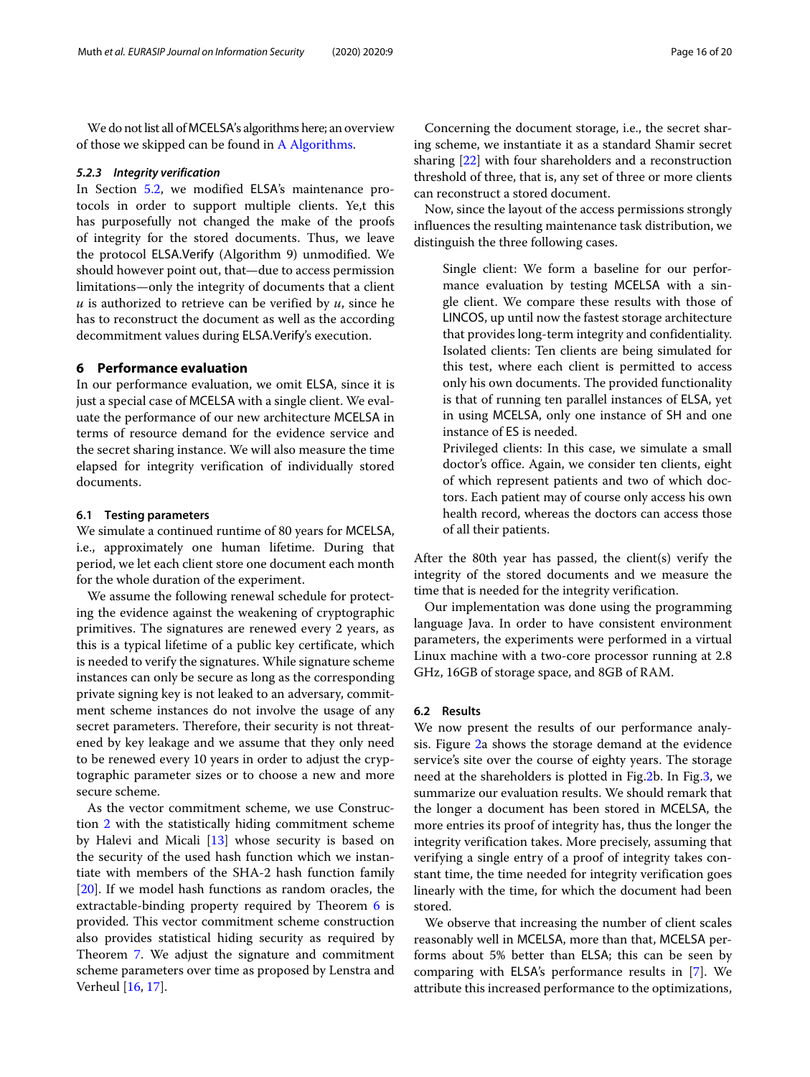We do not list all of MCELSA's algorithms here; an overview of those we skipped can be found in [A Algorithms.](#page-17-1)

#### *5.2.3 Integrity verification*

In Section [5.2,](#page-12-0) we modified ELSA's maintenance protocols in order to support multiple clients. Ye,t this has purposefully not changed the make of the proofs of integrity for the stored documents. Thus, we leave the protocol ELSA.Verify (Algorithm 9) unmodified. We should however point out, that—due to access permission limitations—only the integrity of documents that a client *u* is authorized to retrieve can be verified by *u*, since he has to reconstruct the document as well as the according decommitment values during ELSA.Verify's execution.

#### <span id="page-15-0"></span>**6 Performance evaluation**

In our performance evaluation, we omit ELSA, since it is just a special case of MCELSA with a single client. We evaluate the performance of our new architecture MCELSA in terms of resource demand for the evidence service and the secret sharing instance. We will also measure the time elapsed for integrity verification of individually stored documents.

#### **6.1 Testing parameters**

We simulate a continued runtime of 80 years for MCELSA, i.e., approximately one human lifetime. During that period, we let each client store one document each month for the whole duration of the experiment.

We assume the following renewal schedule for protecting the evidence against the weakening of cryptographic primitives. The signatures are renewed every 2 years, as this is a typical lifetime of a public key certificate, which is needed to verify the signatures. While signature scheme instances can only be secure as long as the corresponding private signing key is not leaked to an adversary, commitment scheme instances do not involve the usage of any secret parameters. Therefore, their security is not threatened by key leakage and we assume that they only need to be renewed every 10 years in order to adjust the cryptographic parameter sizes or to choose a new and more secure scheme.

As the vector commitment scheme, we use Construction [2](#page-5-2) with the statistically hiding commitment scheme by Halevi and Micali [\[13\]](#page-19-20) whose security is based on the security of the used hash function which we instantiate with members of the SHA-2 hash function family [\[20\]](#page-19-21). If we model hash functions as random oracles, the extractable-binding property required by Theorem [6](#page-10-0) is provided. This vector commitment scheme construction also provides statistical hiding security as required by Theorem [7.](#page-11-1) We adjust the signature and commitment scheme parameters over time as proposed by Lenstra and Verheul [\[16,](#page-19-22) [17\]](#page-19-23).

Concerning the document storage, i.e., the secret sharing scheme, we instantiate it as a standard Shamir secret sharing [\[22\]](#page-19-19) with four shareholders and a reconstruction threshold of three, that is, any set of three or more clients can reconstruct a stored document.

Now, since the layout of the access permissions strongly influences the resulting maintenance task distribution, we distinguish the three following cases.

Single client: We form a baseline for our performance evaluation by testing MCELSA with a single client. We compare these results with those of LINCOS, up until now the fastest storage architecture that provides long-term integrity and confidentiality. Isolated clients: Ten clients are being simulated for this test, where each client is permitted to access only his own documents. The provided functionality is that of running ten parallel instances of ELSA, yet in using MCELSA, only one instance of SH and one instance of ES is needed.

Privileged clients: In this case, we simulate a small doctor's office. Again, we consider ten clients, eight of which represent patients and two of which doctors. Each patient may of course only access his own health record, whereas the doctors can access those of all their patients.

After the 80th year has passed, the client(s) verify the integrity of the stored documents and we measure the time that is needed for the integrity verification.

Our implementation was done using the programming language Java. In order to have consistent environment parameters, the experiments were performed in a virtual Linux machine with a two-core processor running at 2.8 GHz, 16GB of storage space, and 8GB of RAM.

#### **6.2 Results**

We now present the results of our performance analysis. Figure [2a](#page-16-0) shows the storage demand at the evidence service's site over the course of eighty years. The storage need at the shareholders is plotted in Fig[.2b](#page-16-0). In Fig[.3,](#page-16-1) we summarize our evaluation results. We should remark that the longer a document has been stored in MCELSA, the more entries its proof of integrity has, thus the longer the integrity verification takes. More precisely, assuming that verifying a single entry of a proof of integrity takes constant time, the time needed for integrity verification goes linearly with the time, for which the document had been stored.

We observe that increasing the number of client scales reasonably well in MCELSA, more than that, MCELSA performs about 5% better than ELSA; this can be seen by comparing with ELSA's performance results in [\[7\]](#page-19-9). We attribute this increased performance to the optimizations,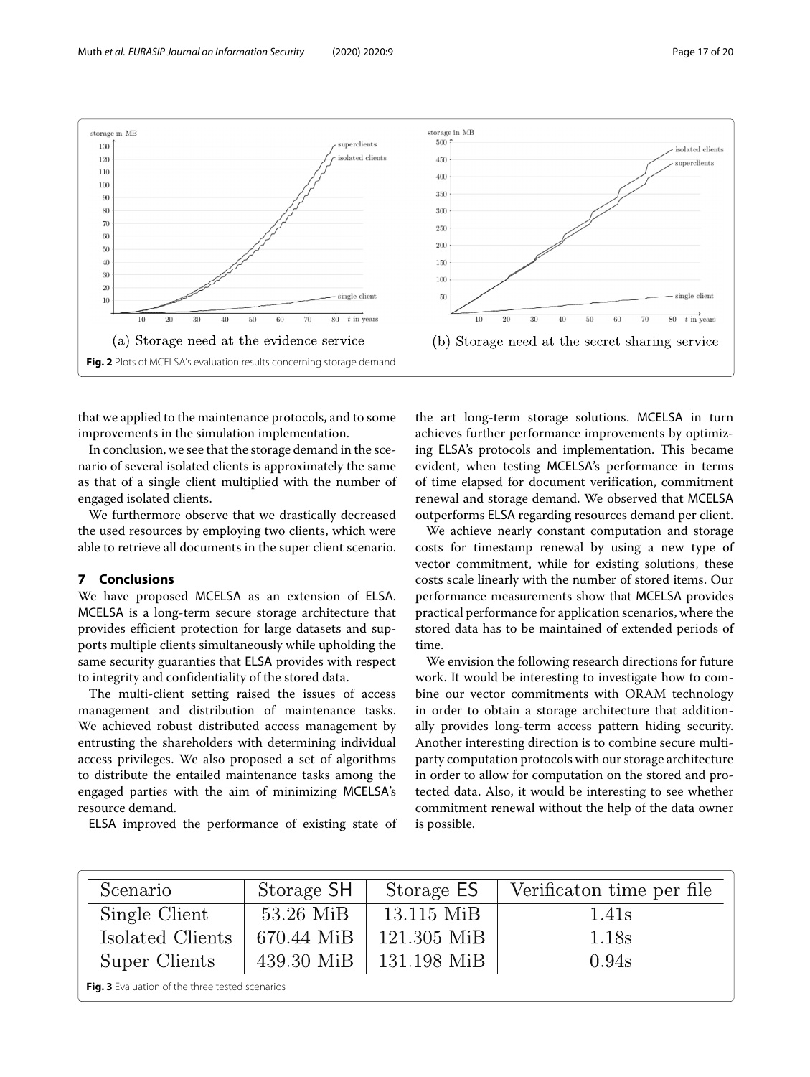

<span id="page-16-0"></span>that we applied to the maintenance protocols, and to some improvements in the simulation implementation.

In conclusion, we see that the storage demand in the scenario of several isolated clients is approximately the same as that of a single client multiplied with the number of engaged isolated clients.

We furthermore observe that we drastically decreased the used resources by employing two clients, which were able to retrieve all documents in the super client scenario.

#### **7 Conclusions**

We have proposed MCELSA as an extension of ELSA. MCELSA is a long-term secure storage architecture that provides efficient protection for large datasets and supports multiple clients simultaneously while upholding the same security guaranties that ELSA provides with respect to integrity and confidentiality of the stored data.

The multi-client setting raised the issues of access management and distribution of maintenance tasks. We achieved robust distributed access management by entrusting the shareholders with determining individual access privileges. We also proposed a set of algorithms to distribute the entailed maintenance tasks among the engaged parties with the aim of minimizing MCELSA's resource demand.

ELSA improved the performance of existing state of

the art long-term storage solutions. MCELSA in turn achieves further performance improvements by optimizing ELSA's protocols and implementation. This became evident, when testing MCELSA's performance in terms of time elapsed for document verification, commitment renewal and storage demand. We observed that MCELSA outperforms ELSA regarding resources demand per client.

We achieve nearly constant computation and storage costs for timestamp renewal by using a new type of vector commitment, while for existing solutions, these costs scale linearly with the number of stored items. Our performance measurements show that MCELSA provides practical performance for application scenarios, where the stored data has to be maintained of extended periods of time.

We envision the following research directions for future work. It would be interesting to investigate how to combine our vector commitments with ORAM technology in order to obtain a storage architecture that additionally provides long-term access pattern hiding security. Another interesting direction is to combine secure multiparty computation protocols with our storage architecture in order to allow for computation on the stored and protected data. Also, it would be interesting to see whether commitment renewal without the help of the data owner is possible.

<span id="page-16-1"></span>

| Scenario                                        | Storage SH | Storage ES               | Verification time per file |  |  |
|-------------------------------------------------|------------|--------------------------|----------------------------|--|--|
| Single Client                                   | 53.26 MiB  | 13.115 MiB               | 1.41 <sub>s</sub>          |  |  |
| Isolated Clients                                | 670.44 MiB | 121.305 MiB              | 1.18s                      |  |  |
| Super Clients                                   |            | 439.30 MiB   131.198 MiB | 0.94s                      |  |  |
| Fig. 3 Evaluation of the three tested scenarios |            |                          |                            |  |  |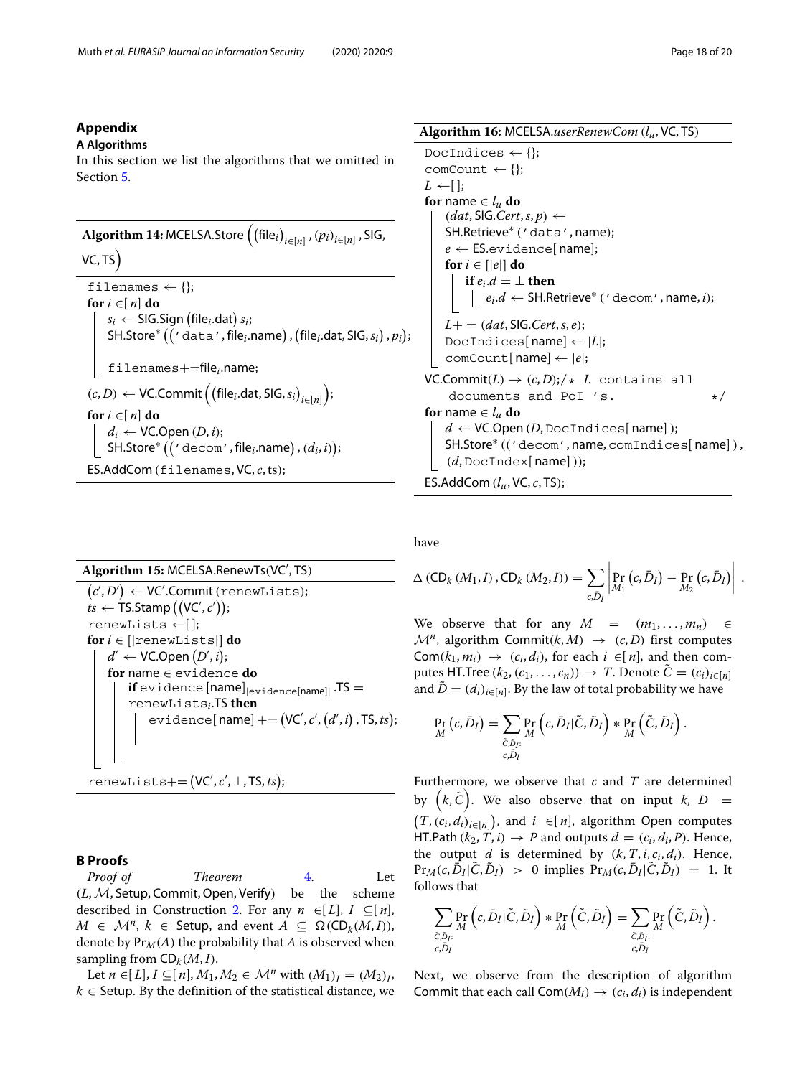#### **Appendix**

#### <span id="page-17-1"></span>**A Algorithms**

In this section we list the algorithms that we omitted in Section [5.](#page-11-0)

 $\bm{\mathrm{Algorithm}}\ \bm{14{:}}\ \textsf{MCELSA}.\textsf{Store}\left(\left(\textsf{file}_i\right)_{i\in[n]},\left(p_i\right)_{i\in[n]},\textsf{SIG},\right.$ 

### VC, TS

```
filenames \leftarrow \{\};
for i ∈[ n] do
      s_i \leftarrow \mathsf{SIG}.Sign (file_i.dat) s_i;
      <code>SH.Store*</code> (( ' <code>data'</code> , file_i.name) , (file_i.dat, SIG, s_i) , p_i);filenames+=filei.name;
(c,D) \leftarrow \textsf{VC}.Commit \left( \left( \textsf{file}_i.\textsf{dat},\textsf{SIG},s_i \right)_{i \in [n]} \right)
;
for i ∈[ n] do
     d_i \leftarrow \text{VC}. Open (D, i);
      <code>SH.Store*</code> \big(( ' <code>decom'</code> , file_i.name) , (d_i, i));
ES.AddCom (filenames, VC, c, ts);
```
# **Algorithm 15:** MCELSA.RenewTs(VC , TS)

 $(c', D') \leftarrow \textsf{VC}'.\textsf{Commit} \left( \textsf{renewLists} \right);$  $ts \leftarrow$  TS.Stamp  $((\mathsf{VC}', c'));$ renewLists ←[ ]; **for**  $i \in$  [ $|$ renewLists]**] do**  $d' \leftarrow \textsf{VC}.\textsf{Open}\left(D',i\right);$ **for** name ∈ evidence **do if** evidence  $[name]_{|evidence[name]|}$ . TS = renewLists*i*.TS **then**  $\textnormal{\texttt{evidence}}[\textnormal{\texttt{name}}] \mathrel{+}= (\textnormal{\texttt{VC}}', \textnormal{\texttt{c}}', (d', i) \mathrel{,} \textnormal{\texttt{TS}}, \textnormal{\texttt{ts}});$ 

$$
\texttt{renewLists} \texttt{+=} (VC', c', \bot, TS, ts);
$$

# **B Proofs**

<span id="page-17-0"></span>*Proof of Theorem* [4.](#page-6-1) Let (*L*,M, Setup, Commit,Open, Verify) be the scheme described in Construction [2.](#page-5-2) For any  $n \in [L]$ ,  $I \subseteq [n]$ , *M* ∈  $\mathcal{M}^n$ ,  $k$  ∈ Setup, and event  $A \subseteq \Omega(CD_k(M, I)),$ denote by  $Pr_M(A)$  the probability that *A* is observed when sampling from  $CD_k(M, I)$ .

Let *n* ∈[*L*], *I* ⊂[*n*], *M*<sub>1</sub>, *M*<sub>2</sub> ∈ *M*<sup>*n*</sup> with  $(M_1)_I = (M_2)_I$ ,  $k \in$  Setup. By the definition of the statistical distance, we

# **Algorithm 16:** MCELSA.*userRenewCom* (*lu*, VC, TS)

```
DocIndices \leftarrow \{\};
comCount \leftarrow \{\};
L \leftarrow [ ];
for name \in l_u do
    (dat, SIG.Cert, s, p) ←SH.Retrieve∗ ('data', name);
    e \leftarrow ES.evidence[name];
    for i \in [|e|] do
       if e_i.d = \perp then
          e_i.d \leftarrow \mathsf{SH}.\mathsf{Retrieve}^* ( ' decom ' , name, i);
    L+ = (dat, \text{SIG}.Cert, s, e);DocIndices[ name]← |L|;
    comCount[ name]← |e|;
VC.Commit(L) \rightarrow (c, D); \star L contains all
    documents and PoI 's. */
for name \in l_u do
    d \leftarrow VC.Open (D, DocIndices[name]);
    SH.Store∗ (('decom', name, comIndices[ name]),
    (d, \text{DocIndex}[\text{name}]));
ES.AddCom (lu, VC, c, TS);
```
have

$$
\Delta (CD_k (M_1, I), CD_k (M_2, I)) = \sum_{c, \bar{D}_I} \left| \Pr_{M_1} (c, \bar{D}_I) - \Pr_{M_2} (c, \bar{D}_I) \right|.
$$

We observe that for any  $M = (m_1, \ldots, m_n) \in$  $\mathcal{M}^n$ , algorithm Commit(k,  $M$ )  $\rightarrow$  (c, D) first computes Com( $k_1$ ,  $m_i$ )  $\rightarrow$  ( $c_i$ ,  $d_i$ ), for each  $i \in [n]$ , and then computes HT.Tree  $(k_2, (c_1, \ldots, c_n)) \rightarrow T$ . Denote  $\tilde{C} = (c_i)_{i \in [n]}$ and  $\tilde{D} = (d_i)_{i \in [n]}$ . By the law of total probability we have

$$
\Pr_{M}(c,\bar{D}_{I}) = \sum_{\substack{\tilde{C},\tilde{D}_{I}:\\c,\bar{D}_{I}}} \Pr_{M}(c,\bar{D}_{I}|\tilde{C},\tilde{D}_{I}) * \Pr_{M}(\tilde{C},\tilde{D}_{I}).
$$

Furthermore, we observe that *c* and *T* are determined by  $(k, \tilde{C})$ . We also observe that on input *k*, *D* =  $(T, (c_i, d_i)_{i \in [n]})$ , and  $i \in [n]$ , algorithm Open computes HT.Path  $(k_2, T, i) \rightarrow P$  and outputs  $d = (c_i, d_i, P)$ . Hence, the output  $d$  is determined by  $(k, T, i, c_i, d_i)$ . Hence,  $Pr_M(c, D_I | C, D_I) > 0$  implies  $Pr_M(c, D_I | C, D_I) = 1$ . It follows that

$$
\sum_{\substack{\tilde{C}, \tilde{D}_I:\\ c, \tilde{D}_I}} \Pr_{M}\left(c, \bar{D}_I | \tilde{C}, \tilde{D}_I\right) * \Pr_{M}\left(\tilde{C}, \tilde{D}_I\right) = \sum_{\substack{\tilde{C}, \tilde{D}_I:\\ c, \tilde{D}_I}} \Pr_{M}\left(\tilde{C}, \tilde{D}_I\right).
$$

Next, we observe from the description of algorithm Commit that each call  $Com(M_i) \rightarrow (c_i, d_i)$  is independent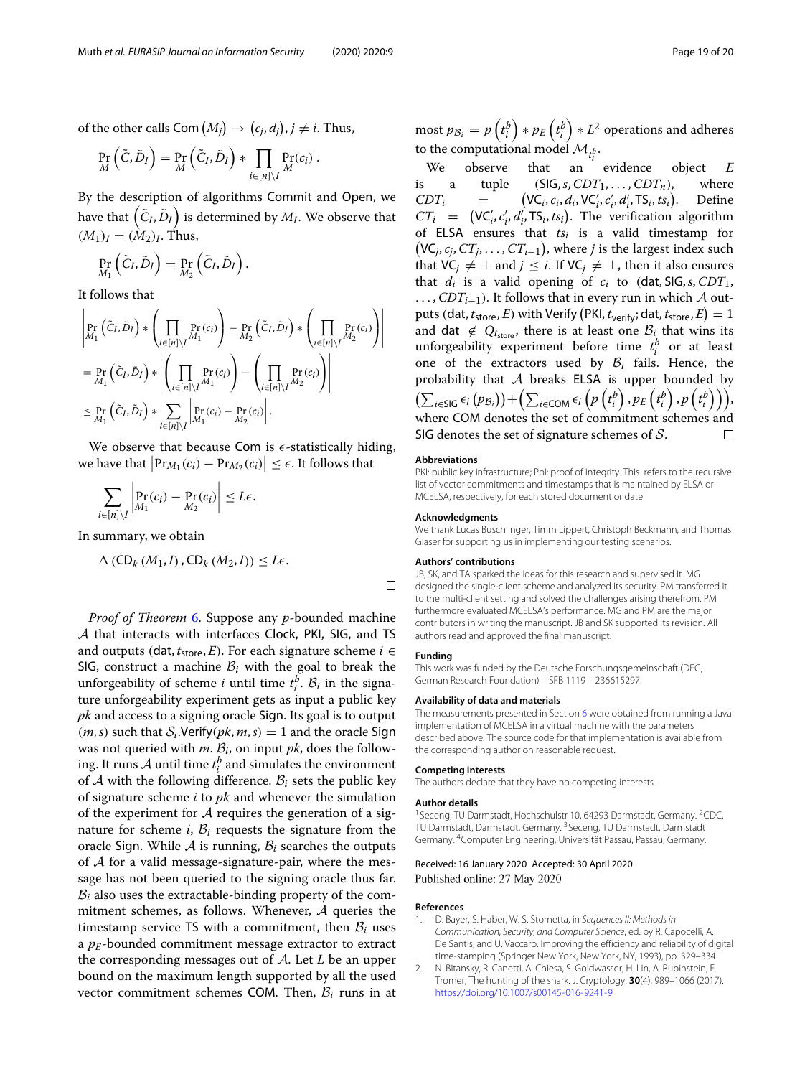of the other calls  $\mathsf{Com}\,(M_j)\to (c_j,d_j), j\neq i$ . Thus,

$$
\Pr_{M}\left(\tilde{C},\tilde{D}_{I}\right)=\Pr_{M}\left(\tilde{C}_{I},\tilde{D}_{I}\right)\ast\prod_{i\in[n]\setminus I}\Pr_{M}(c_{i})\ .
$$

By the description of algorithms Commit and Open, we have that  $\left(\tilde{C}_I, \tilde{D}_I\right)$  is determined by  $M_I.$  We observe that  $(M_1)$ <sub>*I*</sub> =  $(M_2)$ <sub>*I*</sub>. Thus,

$$
\Pr_{M_1}\left(\tilde{C}_I,\tilde{D}_I\right)=\Pr_{M_2}\left(\tilde{C}_I,\tilde{D}_I\right).
$$

It follows that

$$
\left| \Pr_{M_1} (\tilde{C}_I, \tilde{D}_I) * \left( \prod_{i \in [n] \setminus I} \Pr_{M_1} (c_i) \right) - \Pr_{M_2} (\tilde{C}_I, \tilde{D}_I) * \left( \prod_{i \in [n] \setminus I} \Pr_{M_2} (c_i) \right) \right|
$$
\n
$$
= \Pr_{M_1} (\tilde{C}_I, \tilde{D}_I) * \left| \left( \prod_{i \in [n] \setminus I} \Pr_{M_1} (c_i) \right) - \left( \prod_{i \in [n] \setminus I} \Pr_{M_2} (c_i) \right) \right|
$$
\n
$$
\leq \Pr_{M_1} (\tilde{C}_I, \tilde{D}_I) * \sum_{i \in [n] \setminus I} \left| \Pr_{M_1} (c_i) - \Pr_{M_2} (c_i) \right|.
$$

We observe that because Com is  $\epsilon$ -statistically hiding, we have that  $\left|\Pr_{M_1}(c_i) - \Pr_{M_2}(c_i)\right| \leq \epsilon$ . It follows that

$$
\sum_{i\in[n]\setminus I}\left|\Pr_{M_1}(c_i)-\Pr_{M_2}(c_i)\right|\leq L\epsilon.
$$

In summary, we obtain

$$
\Delta \left( \mathsf{CD}_{k} \left( M_{1}, I \right), \mathsf{CD}_{k} \left( M_{2}, I \right) \right) \leq L \epsilon.
$$

*Proof of Theorem* [6.](#page-10-0) Suppose any *p*-bounded machine A that interacts with interfaces Clock, PKI, SIG, and TS and outputs (dat,  $t_{\text{store}}, E$ ). For each signature scheme  $i \in$ SIG, construct a machine  $B_i$  with the goal to break the unforgeability of scheme *i* until time  $t_i^b$ .  $B_i$  in the signature unforgeability experiment gets as input a public key *pk* and access to a signing oracle Sign. Its goal is to output  $(m, s)$  such that  $S_i$ . Verify $(pk, m, s) = 1$  and the oracle Sign was not queried with  $m$ .  $B_i$ , on input  $pk$ , does the following. It runs  $A$  until time  $t_i^b$  and simulates the environment of  $A$  with the following difference.  $B_i$  sets the public key of signature scheme *i* to *pk* and whenever the simulation of the experiment for  $A$  requires the generation of a signature for scheme  $i$ ,  $B_i$  requests the signature from the oracle Sign. While  $A$  is running,  $B_i$  searches the outputs of  $A$  for a valid message-signature-pair, where the message has not been queried to the signing oracle thus far.  $B_i$  also uses the extractable-binding property of the commitment schemes, as follows. Whenever, A queries the timestamp service TS with a commitment, then  $B_i$  uses a  $p_E$ -bounded commitment message extractor to extract the corresponding messages out of A. Let *L* be an upper bound on the maximum length supported by all the used vector commitment schemes COM. Then,  $B_i$  runs in at

most  $p_{\mathcal{B}_i} = p\left(t^b_i\right)*p_E\left(t^b_i\right)*L^2$  operations and adheres to the computational model  $\mathcal{M}_{t_i^b}$ .

We observe that an evidence object *E* is a tuple  $(SIG, s, CDT_1, \ldots, CDT_n)$ , where *CDTi* =  $VC_i, c_i, d_i, VC_i', c_i', d_i', TS_i, ts_i)$ . Define  $CT_i = (\mathsf{VC}'_i, c'_i, d'_i, \mathsf{TS}_i, ts_i)$ . The verification algorithm of ELSA ensures that *tsi* is a valid timestamp for  $(VC_j, c_j, CT_j, \ldots, CT_{i-1})$ , where *j* is the largest index such that  $VC_j \neq \bot$  and *j* ≤ *i*. If  $VC_j \neq \bot$ , then it also ensures that  $d_i$  is a valid opening of  $c_i$  to (dat, SIG,  $s$ , CDT<sub>1</sub>, ...,  $CDT_{i-1}$ ). It follows that in every run in which A out- $\text{puts (dat, } t_{\text{store}}, E) \text{ with Verify (PKl, } t_{\text{verify}}; \text{dat, } t_{\text{store}}, E) = 1$ and dat  $\notin Q_{t_{\text{store}}}$ , there is at least one  $B_i$  that wins its unforgeability experiment before time  $t_i^b$  or at least one of the extractors used by  $B_i$  fails. Hence, the probability that  $A$  breaks ELSA is upper bounded by  $\left(\sum_{i \in \mathsf{SIG}} \epsilon_i\left(p_{\mathcal{B}_i}\right)\right) + \left(\sum_{i \in \mathsf{COM}} \epsilon_i\left(p\left(t^b_i\right), p_{E}\left(t^b_i\right), p\left(t^b_i\right)\right)\right),$ where COM denotes the set of commitment schemes and SIG denotes the set of signature schemes of  $S$ .  $\Box$ 

#### **Abbreviations**

PKI: public key infrastructure; PoI: proof of integrity. This refers to the recursive list of vector commitments and timestamps that is maintained by ELSA or MCELSA, respectively, for each stored document or date

#### **Acknowledgments**

We thank Lucas Buschlinger, Timm Lippert, Christoph Beckmann, and Thomas Glaser for supporting us in implementing our testing scenarios.

#### **Authors' contributions**

JB, SK, and TA sparked the ideas for this research and supervised it. MG designed the single-client scheme and analyzed its security. PM transferred it to the multi-client setting and solved the challenges arising therefrom. PM furthermore evaluated MCELSA's performance. MG and PM are the major contributors in writing the manuscript. JB and SK supported its revision. All authors read and approved the final manuscript.

#### **Funding**

 $\Box$ 

This work was funded by the Deutsche Forschungsgemeinschaft (DFG, German Research Foundation) – SFB 1119 – 236615297.

#### **Availability of data and materials**

The measurements presented in Section [6](#page-15-0) were obtained from running a Java implementation of MCELSA in a virtual machine with the parameters described above. The source code for that implementation is available from the corresponding author on reasonable request.

#### **Competing interests**

The authors declare that they have no competing interests.

#### **Author details**

<sup>1</sup> Seceng, TU Darmstadt, Hochschulstr 10, 64293 Darmstadt, Germany. <sup>2</sup>CDC, TU Darmstadt, Darmstadt, Germany. <sup>3</sup> Seceng, TU Darmstadt, Darmstadt Germany. 4Computer Engineering, Universität Passau, Passau, Germany.

#### Received: 16 January 2020 Accepted: 30 April 2020 Published online: 27 May 2020

#### **References**

- <span id="page-18-0"></span>1. D. Bayer, S. Haber, W. S. Stornetta, in Sequences II: Methods in Communication, Security, and Computer Science, ed. by R. Capocelli, A. De Santis, and U. Vaccaro. Improving the efficiency and reliability of digital time-stamping (Springer New York, New York, NY, 1993), pp. 329–334
- <span id="page-18-1"></span>2. N. Bitansky, R. Canetti, A. Chiesa, S. Goldwasser, H. Lin, A. Rubinstein, E. Tromer, The hunting of the snark. J. Cryptology. **30**(4), 989–1066 (2017). <https://doi.org/10.1007/s00145-016-9241-9>